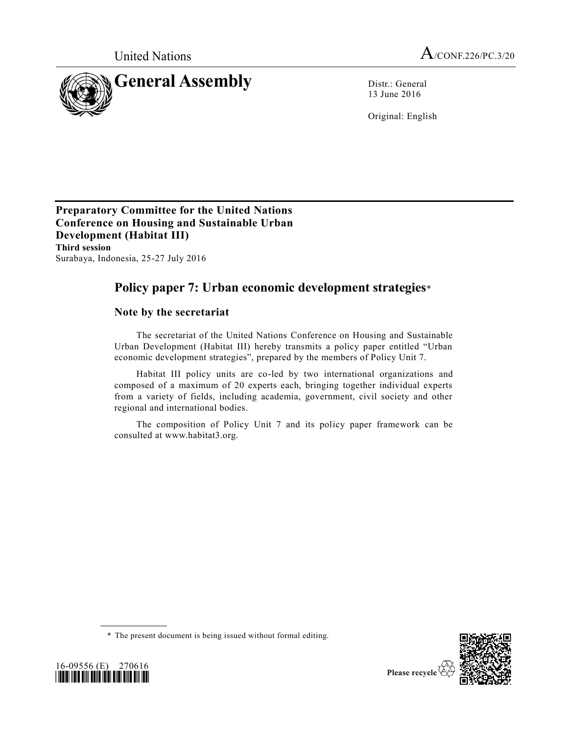

13 June 2016

Original: English

**Preparatory Committee for the United Nations Conference on Housing and Sustainable Urban Development (Habitat III) Third session**  Surabaya, Indonesia, 25-27 July 2016

# **Policy paper 7: Urban economic development strategies**\*

# **Note by the secretariat**

The secretariat of the United Nations Conference on Housing and Sustainable Urban Development (Habitat III) hereby transmits a policy paper entitled "Urban economic development strategies", prepared by the members of Policy Unit 7.

Habitat III policy units are co-led by two international organizations and composed of a maximum of 20 experts each, bringing together individual experts from a variety of fields, including academia, government, civil society and other regional and international bodies.

The composition of Policy Unit 7 and its policy paper framework can be consulted at www.habitat3.org.





<sup>\*</sup> The present document is being issued without formal editing.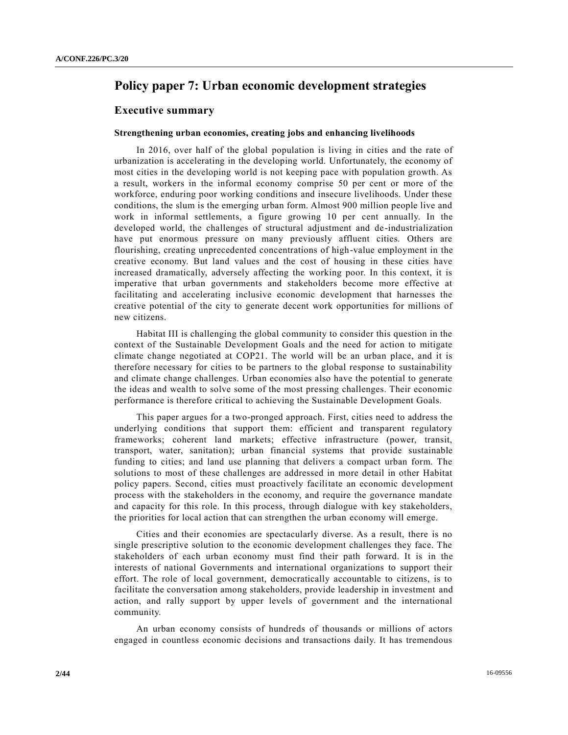# **Policy paper 7: Urban economic development strategies**

## **Executive summary**

### **Strengthening urban economies, creating jobs and enhancing livelihoods**

In 2016, over half of the global population is living in cities and the rate of urbanization is accelerating in the developing world. Unfortunately, the economy of most cities in the developing world is not keeping pace with population growth. As a result, workers in the informal economy comprise 50 per cent or more of the workforce, enduring poor working conditions and insecure livelihoods. Under these conditions, the slum is the emerging urban form. Almost 900 million people live and work in informal settlements, a figure growing 10 per cent annually. In the developed world, the challenges of structural adjustment and de-industrialization have put enormous pressure on many previously affluent cities. Others are flourishing, creating unprecedented concentrations of high-value employment in the creative economy. But land values and the cost of housing in these cities have increased dramatically, adversely affecting the working poor. In this context, it is imperative that urban governments and stakeholders become more effective at facilitating and accelerating inclusive economic development that harnesses the creative potential of the city to generate decent work opportunities for millions of new citizens.

Habitat III is challenging the global community to consider this question in the context of the Sustainable Development Goals and the need for action to mitigate climate change negotiated at COP21. The world will be an urban place, and it is therefore necessary for cities to be partners to the global response to sustainability and climate change challenges. Urban economies also have the potential to generate the ideas and wealth to solve some of the most pressing challenges. Their economic performance is therefore critical to achieving the Sustainable Development Goals.

This paper argues for a two-pronged approach. First, cities need to address the underlying conditions that support them: efficient and transparent regulatory frameworks; coherent land markets; effective infrastructure (power, transit, transport, water, sanitation); urban financial systems that provide sustainable funding to cities; and land use planning that delivers a compact urban form. The solutions to most of these challenges are addressed in more detail in other Habitat policy papers. Second, cities must proactively facilitate an economic development process with the stakeholders in the economy, and require the governance mandate and capacity for this role. In this process, through dialogue with key stakeholders, the priorities for local action that can strengthen the urban economy will emerge.

Cities and their economies are spectacularly diverse. As a result, there is no single prescriptive solution to the economic development challenges they face. The stakeholders of each urban economy must find their path forward. It is in the interests of national Governments and international organizations to support their effort. The role of local government, democratically accountable to citizens, is to facilitate the conversation among stakeholders, provide leadership in investment and action, and rally support by upper levels of government and the international community.

An urban economy consists of hundreds of thousands or millions of actors engaged in countless economic decisions and transactions daily. It has tremendous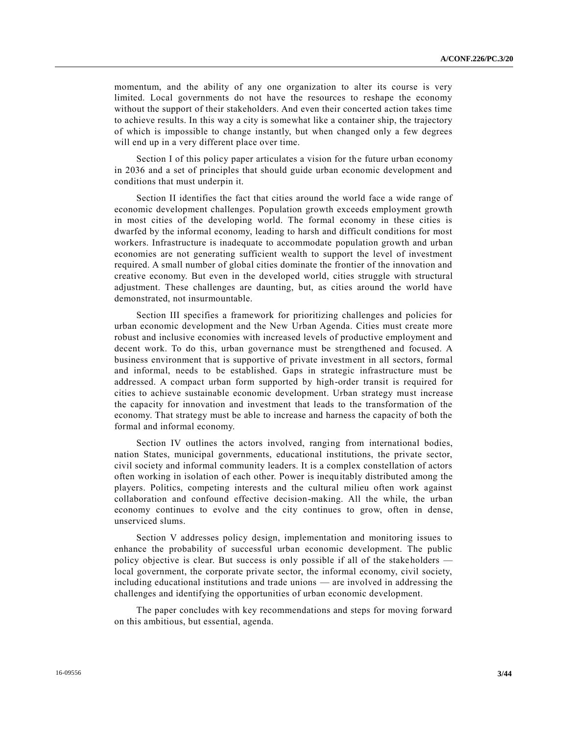momentum, and the ability of any one organization to alter its course is very limited. Local governments do not have the resources to reshape the economy without the support of their stakeholders. And even their concerted action takes time to achieve results. In this way a city is somewhat like a container ship, the trajectory of which is impossible to change instantly, but when changed only a few degrees will end up in a very different place over time.

Section I of this policy paper articulates a vision for the future urban economy in 2036 and a set of principles that should guide urban economic development and conditions that must underpin it.

Section II identifies the fact that cities around the world face a wide range of economic development challenges. Population growth exceeds employment growth in most cities of the developing world. The formal economy in these cities is dwarfed by the informal economy, leading to harsh and difficult conditions for most workers. Infrastructure is inadequate to accommodate population growth and urban economies are not generating sufficient wealth to support the level of investment required. A small number of global cities dominate the frontier of the innovation and creative economy. But even in the developed world, cities struggle with structural adjustment. These challenges are daunting, but, as cities around the world have demonstrated, not insurmountable.

Section III specifies a framework for prioritizing challenges and policies for urban economic development and the New Urban Agenda. Cities must create more robust and inclusive economies with increased levels of productive employment and decent work. To do this, urban governance must be strengthened and focused. A business environment that is supportive of private investment in all sectors, formal and informal, needs to be established. Gaps in strategic infrastructure must be addressed. A compact urban form supported by high-order transit is required for cities to achieve sustainable economic development. Urban strategy must increase the capacity for innovation and investment that leads to the transformation of the economy. That strategy must be able to increase and harness the capacity of both the formal and informal economy.

Section IV outlines the actors involved, ranging from international bodies, nation States, municipal governments, educational institutions, the private sector, civil society and informal community leaders. It is a complex constellation of actors often working in isolation of each other. Power is inequitably distributed among the players. Politics, competing interests and the cultural milieu often work against collaboration and confound effective decision-making. All the while, the urban economy continues to evolve and the city continues to grow, often in dense, unserviced slums.

Section V addresses policy design, implementation and monitoring issues to enhance the probability of successful urban economic development. The public policy objective is clear. But success is only possible if all of the stakeholders local government, the corporate private sector, the informal economy, civil society, including educational institutions and trade unions — are involved in addressing the challenges and identifying the opportunities of urban economic development.

The paper concludes with key recommendations and steps for moving forward on this ambitious, but essential, agenda.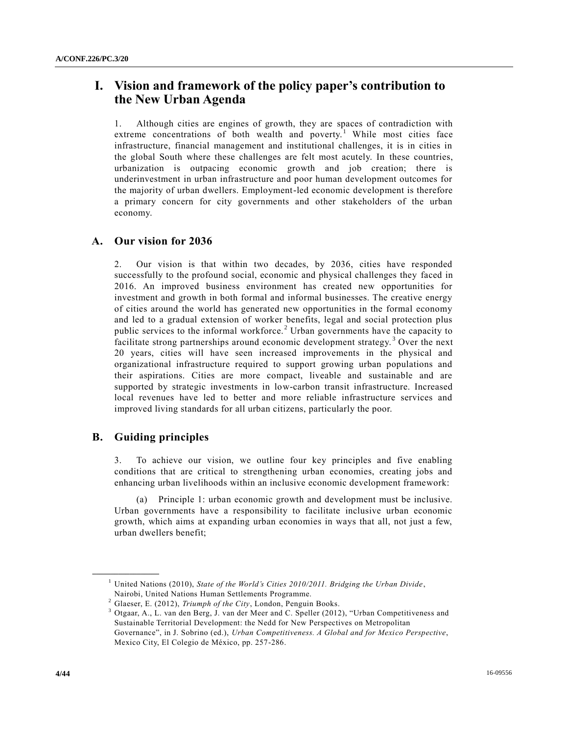# **I. Vision and framework of the policy paper's contribution to the New Urban Agenda**

1. Although cities are engines of growth, they are spaces of contradiction with extreme concentrations of both wealth and poverty.<sup>1</sup> While most cities face infrastructure, financial management and institutional challenges, it is in cities in the global South where these challenges are felt most acutely. In these countries, urbanization is outpacing economic growth and job creation; there is underinvestment in urban infrastructure and poor human development outcomes for the majority of urban dwellers. Employment-led economic development is therefore a primary concern for city governments and other stakeholders of the urban economy.

## **A. Our vision for 2036**

2. Our vision is that within two decades, by 2036, cities have responded successfully to the profound social, economic and physical challenges they faced in 2016. An improved business environment has created new opportunities for investment and growth in both formal and informal businesses. The creative energy of cities around the world has generated new opportunities in the formal economy and led to a gradual extension of worker benefits, legal and social protection plus public services to the informal workforce. <sup>2</sup> Urban governments have the capacity to facilitate strong partnerships around economic development strategy.<sup>3</sup> Over the next 20 years, cities will have seen increased improvements in the physical and organizational infrastructure required to support growing urban populations and their aspirations. Cities are more compact, liveable and sustainable and are supported by strategic investments in low-carbon transit infrastructure. Increased local revenues have led to better and more reliable infrastructure services and improved living standards for all urban citizens, particularly the poor.

## **B. Guiding principles**

**\_\_\_\_\_\_\_\_\_\_\_\_\_\_\_\_\_\_**

3. To achieve our vision, we outline four key principles and five enabling conditions that are critical to strengthening urban economies, creating jobs and enhancing urban livelihoods within an inclusive economic development framework:

Principle 1: urban economic growth and development must be inclusive. Urban governments have a responsibility to facilitate inclusive urban economic growth, which aims at expanding urban economies in ways that all, not just a few, urban dwellers benefit;

<sup>1</sup> United Nations (2010), *State of the World's Cities 2010/2011. Bridging the Urban Divide*, Nairobi, United Nations Human Settlements Programme.

<sup>2</sup> Glaeser, E. (2012), *Triumph of the City*, London, Penguin Books.

 $3$  Otgaar, A., L. van den Berg, J. van der Meer and C. Speller (2012), "Urban Competitiveness and Sustainable Territorial Development: the Nedd for New Perspectives on Metropolitan

Governance", in J. Sobrino (ed.), *Urban Competitiveness. A Global and for Mexico Perspective*, Mexico City, El Colegio de México, pp. 257-286.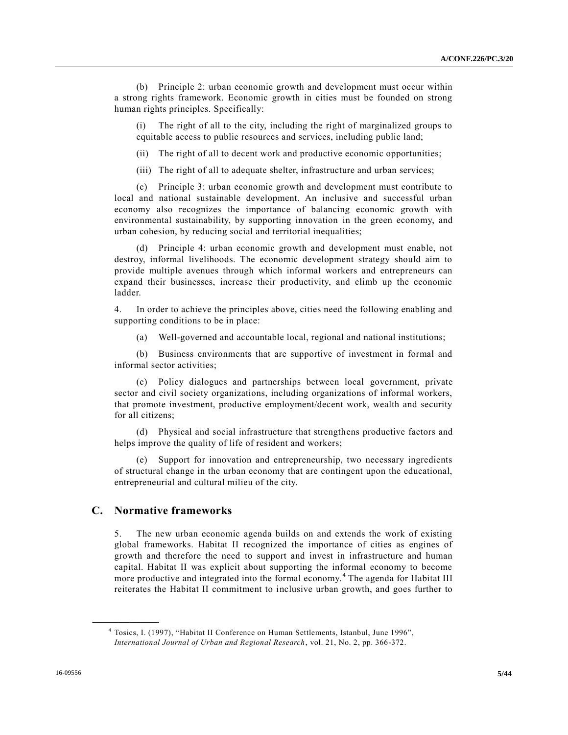(b) Principle 2: urban economic growth and development must occur within a strong rights framework. Economic growth in cities must be founded on strong human rights principles. Specifically:

(i) The right of all to the city, including the right of marginalized groups to equitable access to public resources and services, including public land;

(ii) The right of all to decent work and productive economic opportunities;

(iii) The right of all to adequate shelter, infrastructure and urban services;

(c) Principle 3: urban economic growth and development must contribute to local and national sustainable development. An inclusive and successful urban economy also recognizes the importance of balancing economic growth with environmental sustainability, by supporting innovation in the green economy, and urban cohesion, by reducing social and territorial inequalities;

(d) Principle 4: urban economic growth and development must enable, not destroy, informal livelihoods. The economic development strategy should aim to provide multiple avenues through which informal workers and entrepreneurs can expand their businesses, increase their productivity, and climb up the economic ladder.

4. In order to achieve the principles above, cities need the following enabling and supporting conditions to be in place:

(a) Well-governed and accountable local, regional and national institutions;

(b) Business environments that are supportive of investment in formal and informal sector activities;

(c) Policy dialogues and partnerships between local government, private sector and civil society organizations, including organizations of informal workers, that promote investment, productive employment/decent work, wealth and security for all citizens;

(d) Physical and social infrastructure that strengthens productive factors and helps improve the quality of life of resident and workers;

(e) Support for innovation and entrepreneurship, two necessary ingredients of structural change in the urban economy that are contingent upon the educational, entrepreneurial and cultural milieu of the city.

## **C. Normative frameworks**

**\_\_\_\_\_\_\_\_\_\_\_\_\_\_\_\_\_\_**

5. The new urban economic agenda builds on and extends the work of existing global frameworks. Habitat II recognized the importance of cities as engines of growth and therefore the need to support and invest in infrastructure and human capital. Habitat II was explicit about supporting the informal economy to become more productive and integrated into the formal economy.<sup>4</sup> The agenda for Habitat III reiterates the Habitat II commitment to inclusive urban growth, and goes further to

<sup>&</sup>lt;sup>4</sup> Tosics, I. (1997), "Habitat II Conference on Human Settlements, Istanbul, June 1996", *International Journal of Urban and Regional Research*, vol. 21, No. 2, pp. 366-372.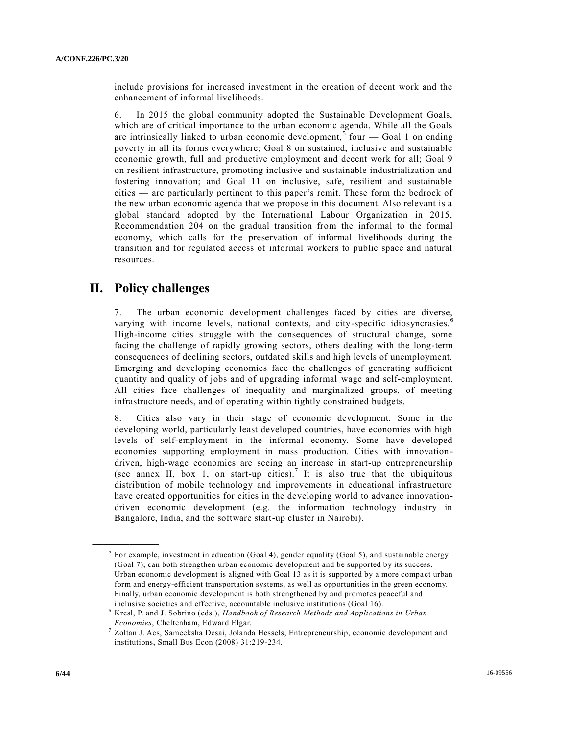include provisions for increased investment in the creation of decent work and the enhancement of informal livelihoods.

6. In 2015 the global community adopted the Sustainable Development Goals, which are of critical importance to the urban economic agenda. While all the Goals are intrinsically linked to urban economic development,<sup>5</sup> four  $-$  Goal 1 on ending poverty in all its forms everywhere; Goal 8 on sustained, inclusive and sustainable economic growth, full and productive employment and decent work for all; Goal 9 on resilient infrastructure, promoting inclusive and sustainable industrialization and fostering innovation; and Goal 11 on inclusive, safe, resilient and sustainable cities — are particularly pertinent to this paper's remit. These form the bedrock of the new urban economic agenda that we propose in this document. Also relevant is a global standard adopted by the International Labour Organization in 2015, Recommendation 204 on the gradual transition from the informal to the formal economy, which calls for the preservation of informal livelihoods during the transition and for regulated access of informal workers to public space and natural resources.

# **II. Policy challenges**

**\_\_\_\_\_\_\_\_\_\_\_\_\_\_\_\_\_\_**

7. The urban economic development challenges faced by cities are diverse, varying with income levels, national contexts, and city-specific idiosyncrasies.<sup>6</sup> High-income cities struggle with the consequences of structural change, some facing the challenge of rapidly growing sectors, others dealing with the long-term consequences of declining sectors, outdated skills and high levels of unemployment. Emerging and developing economies face the challenges of generating sufficient quantity and quality of jobs and of upgrading informal wage and self-employment. All cities face challenges of inequality and marginalized groups, of meeting infrastructure needs, and of operating within tightly constrained budgets.

8. Cities also vary in their stage of economic development. Some in the developing world, particularly least developed countries, have economies with high levels of self-employment in the informal economy. Some have developed economies supporting employment in mass production. Cities with innovation driven, high-wage economies are seeing an increase in start-up entrepreneurship (see annex II, box 1, on start-up cities).<sup>7</sup> It is also true that the ubiquitous distribution of mobile technology and improvements in educational infrastructure have created opportunities for cities in the developing world to advance innovationdriven economic development (e.g. the information technology industry in Bangalore, India, and the software start-up cluster in Nairobi).

 $5$  For example, investment in education (Goal 4), gender equality (Goal 5), and sustainable energy (Goal 7), can both strengthen urban economic development and be supported by its success. Urban economic development is aligned with Goal 13 as it is supported by a more compact urban form and energy-efficient transportation systems, as well as opportunities in the green economy. Finally, urban economic development is both strengthened by and promotes peaceful and inclusive societies and effective, accountable inclusive institutions (Goal 16).

<sup>6</sup> Kresl, P. and J. Sobrino (eds.), *Handbook of Research Methods and Applications in Urban Economies*, Cheltenham, Edward Elgar.

 $^7$  Zoltan J. Acs, Sameeksha Desai, Jolanda Hessels, Entrepreneurship, economic development and institutions, Small Bus Econ (2008) 31:219-234.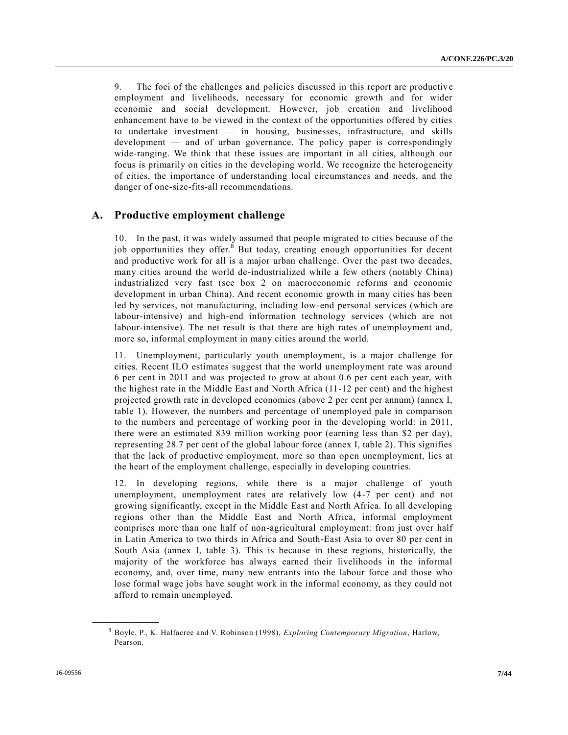9. The foci of the challenges and policies discussed in this report are productive employment and livelihoods, necessary for economic growth and for wider economic and social development. However, job creation and livelihood enhancement have to be viewed in the context of the opportunities offered by cities to undertake investment — in housing, businesses, infrastructure, and skills development — and of urban governance. The policy paper is correspondingly wide-ranging. We think that these issues are important in all cities, although our focus is primarily on cities in the developing world. We recognize the heterogeneity of cities, the importance of understanding local circumstances and needs, and the danger of one-size-fits-all recommendations.

## **A. Productive employment challenge**

10. In the past, it was widely assumed that people migrated to cities because of the job opportunities they offer.<sup>8</sup> But today, creating enough opportunities for decent and productive work for all is a major urban challenge. Over the past two decades, many cities around the world de-industrialized while a few others (notably China) industrialized very fast (see box 2 on macroeconomic reforms and economic development in urban China). And recent economic growth in many cities has been led by services, not manufacturing, including low-end personal services (which are labour-intensive) and high-end information technology services (which are not labour-intensive). The net result is that there are high rates of unemployment and, more so, informal employment in many cities around the world.

11. Unemployment, particularly youth unemployment, is a major challenge for cities. Recent ILO estimates suggest that the world unemployment rate was around 6 per cent in 2011 and was projected to grow at about 0.6 per cent each year, with the highest rate in the Middle East and North Africa (11-12 per cent) and the highest projected growth rate in developed economies (above 2 per cent per annum) (annex I, table 1). However, the numbers and percentage of unemployed pale in comparison to the numbers and percentage of working poor in the developing world: in 2011, there were an estimated 839 million working poor (earning less than \$2 per day), representing 28.7 per cent of the global labour force (annex I, table 2). This signifies that the lack of productive employment, more so than open unemployment, lies at the heart of the employment challenge, especially in developing countries.

12. In developing regions, while there is a major challenge of youth unemployment, unemployment rates are relatively low (4-7 per cent) and not growing significantly, except in the Middle East and North Africa. In all developing regions other than the Middle East and North Africa, informal employment comprises more than one half of non-agricultural employment: from just over half in Latin America to two thirds in Africa and South-East Asia to over 80 per cent in South Asia (annex I, table 3). This is because in these regions, historically, the majority of the workforce has always earned their livelihoods in the informal economy, and, over time, many new entrants into the labour force and those who lose formal wage jobs have sought work in the informal economy, as they could not afford to remain unemployed.

<sup>8</sup> Boyle, P., K. Halfacree and V. Robinson (1998), *Exploring Contemporary Migration*, Harlow, Pearson.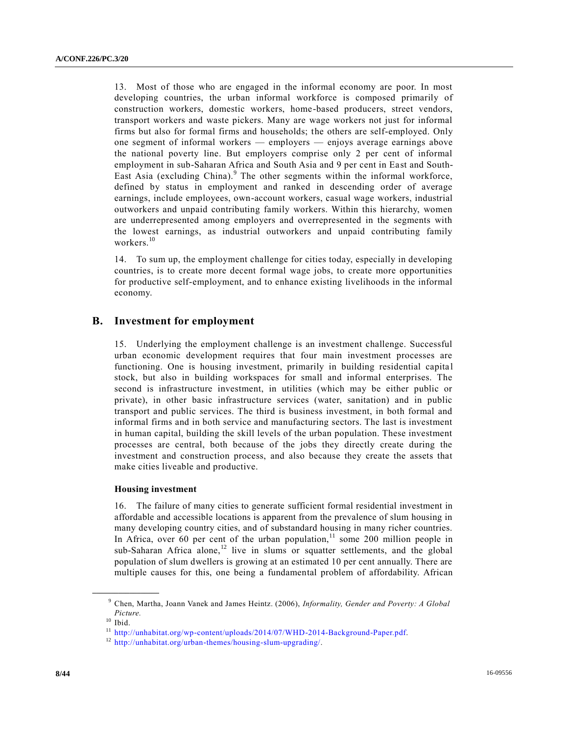13. Most of those who are engaged in the informal economy are poor. In most developing countries, the urban informal workforce is composed primarily of construction workers, domestic workers, home-based producers, street vendors, transport workers and waste pickers. Many are wage workers not just for informal firms but also for formal firms and households; the others are self-employed. Only one segment of informal workers — employers — enjoys average earnings above the national poverty line. But employers comprise only 2 per cent of informal employment in sub-Saharan Africa and South Asia and 9 per cent in East and South-East Asia (excluding China). $9$  The other segments within the informal workforce, defined by status in employment and ranked in descending order of average earnings, include employees, own-account workers, casual wage workers, industrial outworkers and unpaid contributing family workers. Within this hierarchy, women are underrepresented among employers and overrepresented in the segments with the lowest earnings, as industrial outworkers and unpaid contributing family workers.<sup>10</sup>

14. To sum up, the employment challenge for cities today, especially in developing countries, is to create more decent formal wage jobs, to create more opportunities for productive self-employment, and to enhance existing livelihoods in the informal economy.

## **B. Investment for employment**

15. Underlying the employment challenge is an investment challenge. Successful urban economic development requires that four main investment processes are functioning. One is housing investment, primarily in building residential capital stock, but also in building workspaces for small and informal enterprises. The second is infrastructure investment, in utilities (which may be either public or private), in other basic infrastructure services (water, sanitation) and in public transport and public services. The third is business investment, in both formal and informal firms and in both service and manufacturing sectors. The last is investment in human capital, building the skill levels of the urban population. These investment processes are central, both because of the jobs they directly create during the investment and construction process, and also because they create the assets that make cities liveable and productive.

## **Housing investment**

16. The failure of many cities to generate sufficient formal residential investment in affordable and accessible locations is apparent from the prevalence of slum housing in many developing country cities, and of substandard housing in many richer countries. In Africa, over 60 per cent of the urban population, $11$  some 200 million people in sub-Saharan Africa alone,<sup>12</sup> live in slums or squatter settlements, and the global population of slum dwellers is growing at an estimated 10 per cent annually. There are multiple causes for this, one being a fundamental problem of affordability. African

<sup>9</sup> Chen, Martha, Joann Vanek and James Heintz. (2006), *Informality, Gender and Poverty: A Global Picture.*

 $10$  Ibid.

 $^{11}\,$  [http://unhabitat.org/wp-content/uploads/2014/07/WHD-2014-Background-Paper.pdf.](http://unhabitat.org/wp-content/uploads/2014/07/WHD-2014-Background-Paper.pdf)

<sup>12</sup> [http://unhabitat.org/urban-themes/housing-slum-upgrading/.](http://unhabitat.org/urban-themes/housing-slum-upgrading/)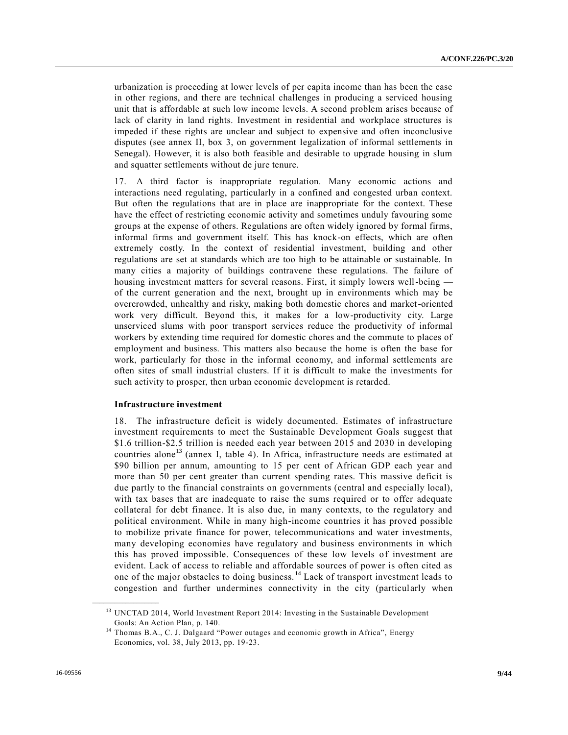urbanization is proceeding at lower levels of per capita income than has been the case in other regions, and there are technical challenges in producing a serviced housing unit that is affordable at such low income levels. A second problem arises because of lack of clarity in land rights. Investment in residential and workplace structures is impeded if these rights are unclear and subject to expensive and often inconclusive disputes (see annex II, box 3, on government legalization of informal settlements in Senegal). However, it is also both feasible and desirable to upgrade housing in slum and squatter settlements without de jure tenure.

17. A third factor is inappropriate regulation. Many economic actions and interactions need regulating, particularly in a confined and congested urban context. But often the regulations that are in place are inappropriate for the context. These have the effect of restricting economic activity and sometimes unduly favouring some groups at the expense of others. Regulations are often widely ignored by formal firms, informal firms and government itself. This has knock-on effects, which are often extremely costly. In the context of residential investment, building and other regulations are set at standards which are too high to be attainable or sustainable. In many cities a majority of buildings contravene these regulations. The failure of housing investment matters for several reasons. First, it simply lowers well-being of the current generation and the next, brought up in environments which may be overcrowded, unhealthy and risky, making both domestic chores and market-oriented work very difficult. Beyond this, it makes for a low-productivity city. Large unserviced slums with poor transport services reduce the productivity of informal workers by extending time required for domestic chores and the commute to places of employment and business. This matters also because the home is often the base for work, particularly for those in the informal economy, and informal settlements are often sites of small industrial clusters. If it is difficult to make the investments for such activity to prosper, then urban economic development is retarded.

### **Infrastructure investment**

18. The infrastructure deficit is widely documented. Estimates of infrastructure investment requirements to meet the Sustainable Development Goals suggest that \$1.6 trillion-\$2.5 trillion is needed each year between 2015 and 2030 in developing countries alone<sup>13</sup> (annex I, table 4). In Africa, infrastructure needs are estimated at \$90 billion per annum, amounting to 15 per cent of African GDP each year and more than 50 per cent greater than current spending rates. This massive deficit is due partly to the financial constraints on governments (central and especially local), with tax bases that are inadequate to raise the sums required or to offer adequate collateral for debt finance. It is also due, in many contexts, to the regulatory and political environment. While in many high-income countries it has proved possible to mobilize private finance for power, telecommunications and water investments, many developing economies have regulatory and business environments in which this has proved impossible. Consequences of these low levels of investment are evident. Lack of access to reliable and affordable sources of power is often cited as one of the major obstacles to doing business. <sup>14</sup> Lack of transport investment leads to congestion and further undermines connectivity in the city (particularly when

<sup>&</sup>lt;sup>13</sup> UNCTAD 2014, World Investment Report 2014: Investing in the Sustainable Development Goals: An Action Plan, p. 140.

<sup>&</sup>lt;sup>14</sup> Thomas B.A., C. J. Dalgaard "Power outages and economic growth in Africa", Energy Economics, vol. 38, July 2013, pp. 19-23.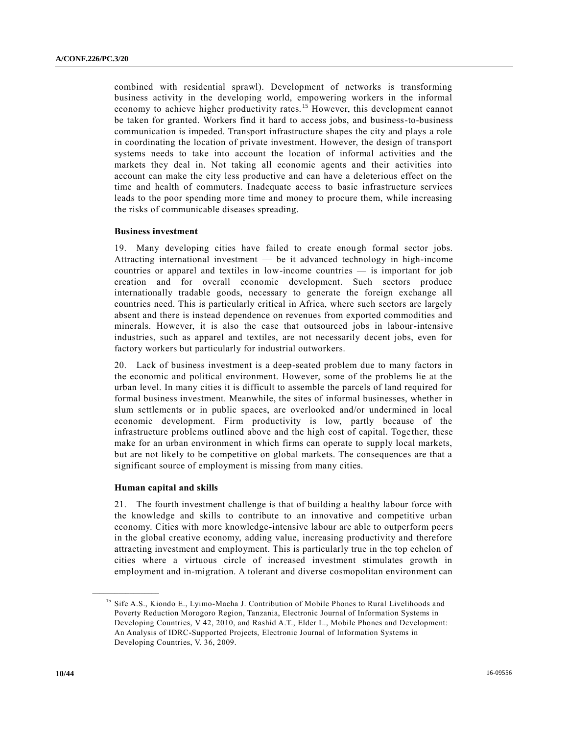combined with residential sprawl). Development of networks is transforming business activity in the developing world, empowering workers in the informal economy to achieve higher productivity rates.<sup>15</sup> However, this development cannot be taken for granted. Workers find it hard to access jobs, and business-to-business communication is impeded. Transport infrastructure shapes the city and plays a role in coordinating the location of private investment. However, the design of transport systems needs to take into account the location of informal activities and the markets they deal in. Not taking all economic agents and their activities into account can make the city less productive and can have a deleterious effect on the time and health of commuters. Inadequate access to basic infrastructure services leads to the poor spending more time and money to procure them, while increasing the risks of communicable diseases spreading.

### **Business investment**

19. Many developing cities have failed to create enough formal sector jobs. Attracting international investment — be it advanced technology in high-income countries or apparel and textiles in low-income countries — is important for job creation and for overall economic development. Such sectors produce internationally tradable goods, necessary to generate the foreign exchange all countries need. This is particularly critical in Africa, where such sectors are largely absent and there is instead dependence on revenues from exported commodities and minerals. However, it is also the case that outsourced jobs in labour-intensive industries, such as apparel and textiles, are not necessarily decent jobs, even for factory workers but particularly for industrial outworkers.

20. Lack of business investment is a deep-seated problem due to many factors in the economic and political environment. However, some of the problems lie at the urban level. In many cities it is difficult to assemble the parcels of land required for formal business investment. Meanwhile, the sites of informal businesses, whether in slum settlements or in public spaces, are overlooked and/or undermined in local economic development. Firm productivity is low, partly because of the infrastructure problems outlined above and the high cost of capital. Together, these make for an urban environment in which firms can operate to supply local markets, but are not likely to be competitive on global markets. The consequences are that a significant source of employment is missing from many cities.

### **Human capital and skills**

**\_\_\_\_\_\_\_\_\_\_\_\_\_\_\_\_\_\_**

21. The fourth investment challenge is that of building a healthy labour force with the knowledge and skills to contribute to an innovative and competitive urban economy. Cities with more knowledge-intensive labour are able to outperform peers in the global creative economy, adding value, increasing productivity and therefore attracting investment and employment. This is particularly true in the top echelon of cities where a virtuous circle of increased investment stimulates growth in employment and in-migration. A tolerant and diverse cosmopolitan environment can

<sup>&</sup>lt;sup>15</sup> Sife A.S., Kiondo E., Lyimo-Macha J. Contribution of Mobile Phones to Rural Livelihoods and Poverty Reduction Morogoro Region, Tanzania, Electronic Journal of Information Systems in Developing Countries, V 42, 2010, and Rashid A.T., Elder L., Mobile Phones and Development: An Analysis of IDRC-Supported Projects, Electronic Journal of Information Systems in Developing Countries, V. 36, 2009.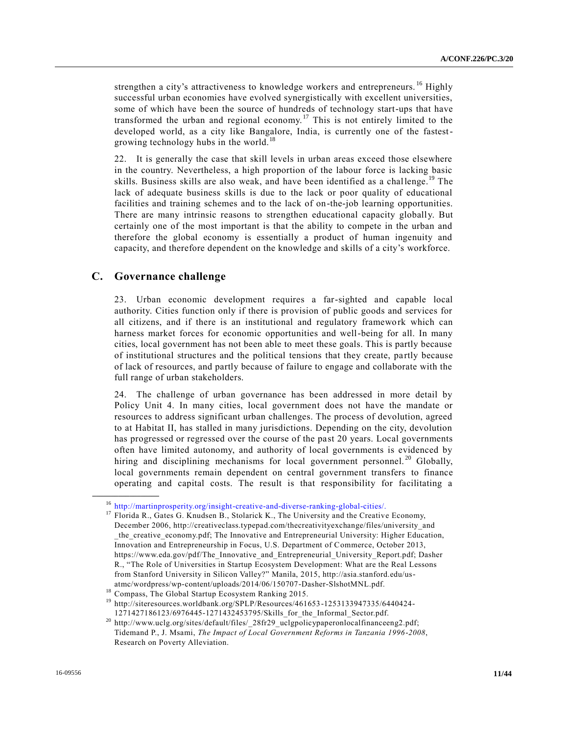strengthen a city's attractiveness to knowledge workers and entrepreneurs.<sup>16</sup> Highly successful urban economies have evolved synergistically with excellent universities, some of which have been the source of hundreds of technology start-ups that have transformed the urban and regional economy.<sup>17</sup> This is not entirely limited to the developed world, as a city like Bangalore, India, is currently one of the fastestgrowing technology hubs in the world.<sup>18</sup>

22. It is generally the case that skill levels in urban areas exceed those elsewhere in the country. Nevertheless, a high proportion of the labour force is lacking basic skills. Business skills are also weak, and have been identified as a challenge.<sup>19</sup> The lack of adequate business skills is due to the lack or poor quality of educational facilities and training schemes and to the lack of on-the-job learning opportunities. There are many intrinsic reasons to strengthen educational capacity globally. But certainly one of the most important is that the ability to compete in the urban and therefore the global economy is essentially a product of human ingenuity and capacity, and therefore dependent on the knowledge and skills of a city's workforce.

## **C. Governance challenge**

**\_\_\_\_\_\_\_\_\_\_\_\_\_\_\_\_\_\_**

23. Urban economic development requires a far-sighted and capable local authority. Cities function only if there is provision of public goods and services for all citizens, and if there is an institutional and regulatory framework which can harness market forces for economic opportunities and well-being for all. In many cities, local government has not been able to meet these goals. This is partly because of institutional structures and the political tensions that they create, pa rtly because of lack of resources, and partly because of failure to engage and collaborate with the full range of urban stakeholders.

24. The challenge of urban governance has been addressed in more detail by Policy Unit 4. In many cities, local government does not have the mandate or resources to address significant urban challenges. The process of devolution, agreed to at Habitat II, has stalled in many jurisdictions. Depending on the city, devolution has progressed or regressed over the course of the past 20 years. Local governments often have limited autonomy, and authority of local governments is evidenced by hiring and disciplining mechanisms for local government personnel.<sup>20</sup> Globally, local governments remain dependent on central government transfers to finance operating and capital costs. The result is that responsibility for facilitating a

<sup>&</sup>lt;sup>16</sup> [http://martinprosperity.org/insight-creative-and-diverse-ranking-global-cities/.](http://martinprosperity.org/insight-creative-and-diverse-ranking-global-cities/)<br><sup>17</sup> Eloride B. Gotes G. Knudsen B. Stelerick K. The University and the Creative

<sup>17</sup> Florida R., Gates G. Knudsen B., Stolarick K., The University and the Creative Economy, December 2006, http://creativeclass.typepad.com/thecreativityexchange/files/university\_and \_the\_creative\_economy.pdf; The Innovative and Entrepreneurial University: Higher Education, Innovation and Entrepreneurship in Focus, U.S. Department of Commerce, October 2013, https://www.eda.gov/pdf/The\_Innovative\_and\_Entrepreneurial\_University\_Report.pdf; Dasher R., "The Role of Universities in Startup Ecosystem Development: What are the Real Lessons from Stanford University in Silicon Valley?" Manila, 2015, http://asia.stanford.edu/usatmc/wordpress/wp-content/uploads/2014/06/150707-Dasher-SlshotMNL.pdf.

<sup>&</sup>lt;sup>18</sup> Compass, The Global Startup Ecosystem Ranking 2015.

<sup>&</sup>lt;sup>19</sup> http://siteresources.worldbank.org/SPLP/Resources/461653-1253133947335/6440424-1271427186123/6976445-1271432453795/Skills\_for\_the\_Informal\_Sector.pdf.

<sup>&</sup>lt;sup>20</sup> http://www.uclg.org/sites/default/files/\_28fr29\_uclgpolicypaperonlocalfinanceeng2.pdf; Tidemand P., J. Msami, *The Impact of Local Government Reforms in Tanzania 1996-2008*, Research on Poverty Alleviation.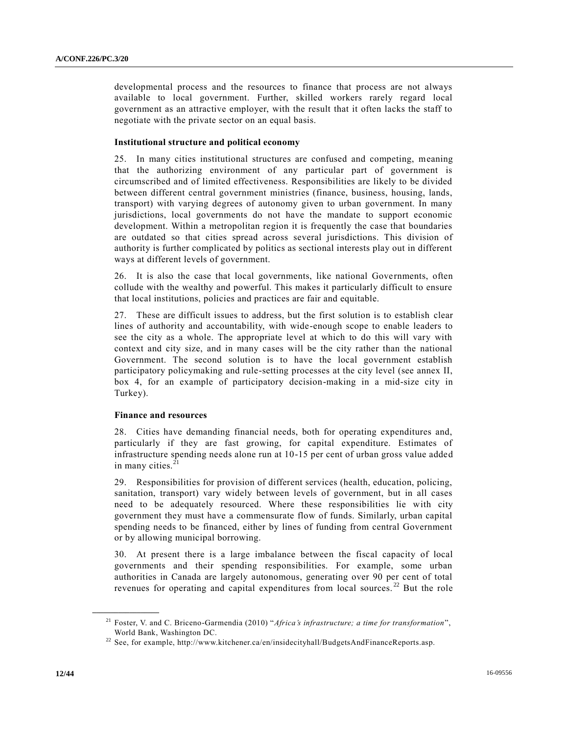developmental process and the resources to finance that process are not always available to local government. Further, skilled workers rarely regard local government as an attractive employer, with the result that it often lacks the staff to negotiate with the private sector on an equal basis.

### **Institutional structure and political economy**

25. In many cities institutional structures are confused and competing, meaning that the authorizing environment of any particular part of government is circumscribed and of limited effectiveness. Responsibilities are likely to be divided between different central government ministries (finance, business, housing, lands, transport) with varying degrees of autonomy given to urban government. In many jurisdictions, local governments do not have the mandate to support economic development. Within a metropolitan region it is frequently the case that boundaries are outdated so that cities spread across several jurisdictions. This division of authority is further complicated by politics as sectional interests play out in different ways at different levels of government.

26. It is also the case that local governments, like national Governments, often collude with the wealthy and powerful. This makes it particularly difficult to ensure that local institutions, policies and practices are fair and equitable.

27. These are difficult issues to address, but the first solution is to establish clear lines of authority and accountability, with wide-enough scope to enable leaders to see the city as a whole. The appropriate level at which to do this will vary with context and city size, and in many cases will be the city rather than the national Government. The second solution is to have the local government establish participatory policymaking and rule-setting processes at the city level (see annex II, box 4, for an example of participatory decision-making in a mid-size city in Turkey).

### **Finance and resources**

28. Cities have demanding financial needs, both for operating expenditures and, particularly if they are fast growing, for capital expenditure. Estimates of infrastructure spending needs alone run at 10-15 per cent of urban gross value added in many cities.<sup>21</sup>

29. Responsibilities for provision of different services (health, education, policing, sanitation, transport) vary widely between levels of government, but in all cases need to be adequately resourced. Where these responsibilities lie with city government they must have a commensurate flow of funds. Similarly, urban capital spending needs to be financed, either by lines of funding from central Government or by allowing municipal borrowing.

30. At present there is a large imbalance between the fiscal capacity of local governments and their spending responsibilities. For example, some urban authorities in Canada are largely autonomous, generating over 90 per cent of total revenues for operating and capital expenditures from local sources. <sup>22</sup> But the role

<sup>21</sup> Foster, V. and C. Briceno-Garmendia (2010) "*Africa's infrastructure; a time for transformation*", World Bank, Washington DC.

<sup>&</sup>lt;sup>22</sup> See, for example, http://www.kitchener.ca/en/insidecityhall/BudgetsAndFinanceReports.asp.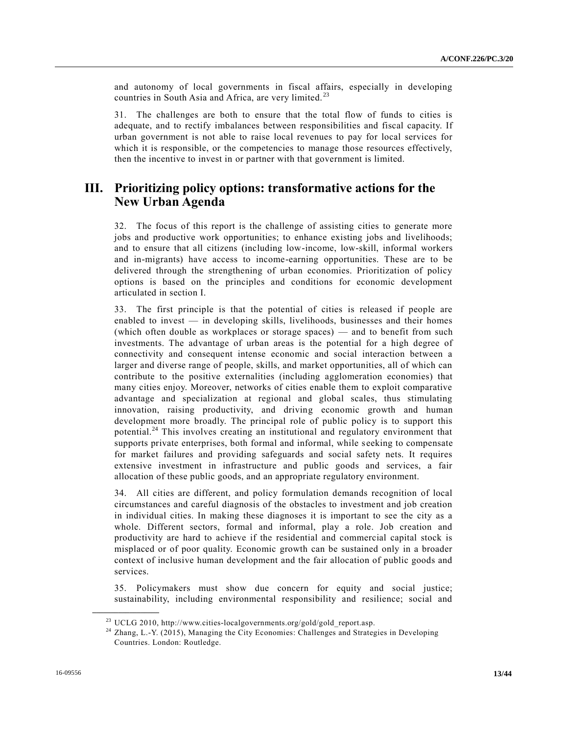and autonomy of local governments in fiscal affairs, especially in developing countries in South Asia and Africa, are very limited.<sup>23</sup>

31. The challenges are both to ensure that the total flow of funds to cities is adequate, and to rectify imbalances between responsibilities and fiscal capacity. If urban government is not able to raise local revenues to pay for local services for which it is responsible, or the competencies to manage those resources effectively, then the incentive to invest in or partner with that government is limited.

# **III. Prioritizing policy options: transformative actions for the New Urban Agenda**

32. The focus of this report is the challenge of assisting cities to generate more jobs and productive work opportunities; to enhance existing jobs and livelihoods; and to ensure that all citizens (including low-income, low-skill, informal workers and in-migrants) have access to income-earning opportunities. These are to be delivered through the strengthening of urban economies. Prioritization of policy options is based on the principles and conditions for economic development articulated in section I.

33. The first principle is that the potential of cities is released if people are enabled to invest — in developing skills, livelihoods, businesses and their homes (which often double as workplaces or storage spaces) — and to benefit from such investments. The advantage of urban areas is the potential for a high degree of connectivity and consequent intense economic and social interaction between a larger and diverse range of people, skills, and market opportunities, all of which can contribute to the positive externalities (including agglomeration economies) that many cities enjoy. Moreover, networks of cities enable them to exploit comparative advantage and specialization at regional and global scales, thus stimulating innovation, raising productivity, and driving economic growth and human development more broadly. The principal role of public policy is to support this potential.<sup>24</sup> This involves creating an institutional and regulatory environment that supports private enterprises, both formal and informal, while seeking to compensate for market failures and providing safeguards and social safety nets. It requires extensive investment in infrastructure and public goods and services, a fair allocation of these public goods, and an appropriate regulatory environment.

34. All cities are different, and policy formulation demands recognition of local circumstances and careful diagnosis of the obstacles to investment and job creation in individual cities. In making these diagnoses it is important to see the city as a whole. Different sectors, formal and informal, play a role. Job creation and productivity are hard to achieve if the residential and commercial capital stock is misplaced or of poor quality. Economic growth can be sustained only in a broader context of inclusive human development and the fair allocation of public goods and services.

35. Policymakers must show due concern for equity and social justice; sustainability, including environmental responsibility and resilience; social and

 $^{23}$  UCLG 2010, http://www.cities-localgovernments.org/gold/gold\_report.asp.

<sup>&</sup>lt;sup>24</sup> Zhang, L.-Y. (2015), Managing the City Economies: Challenges and Strategies in Developing Countries. London: Routledge.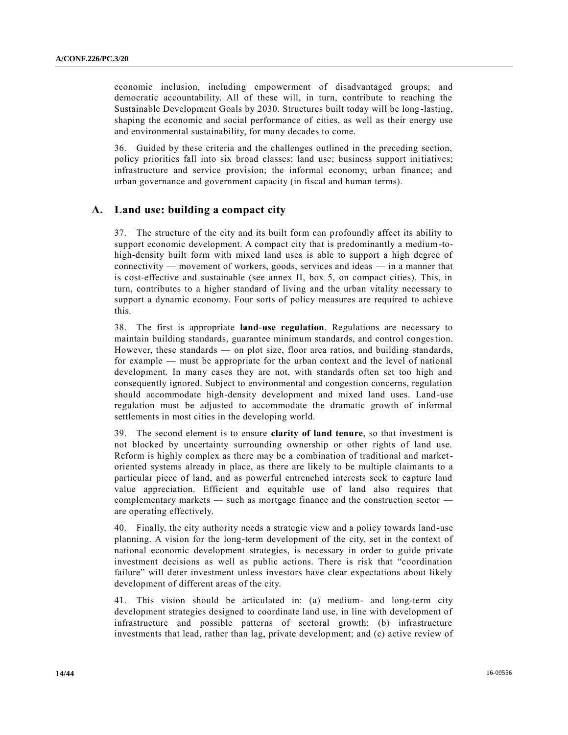economic inclusion, including empowerment of disadvantaged groups; and democratic accountability. All of these will, in turn, contribute to reaching the Sustainable Development Goals by 2030. Structures built today will be long -lasting, shaping the economic and social performance of cities, as well as their energy use and environmental sustainability, for many decades to come.

36. Guided by these criteria and the challenges outlined in the preceding section, policy priorities fall into six broad classes: land use; business support initiatives; infrastructure and service provision; the informal economy; urban finance; and urban governance and government capacity (in fiscal and human terms).

## **A. Land use: building a compact city**

37. The structure of the city and its built form can profoundly affect its ability to support economic development. A compact city that is predominantly a medium-tohigh-density built form with mixed land uses is able to support a high degree of connectivity — movement of workers, goods, services and ideas — in a manner that is cost-effective and sustainable (see annex II, box 5, on compact cities). This, in turn, contributes to a higher standard of living and the urban vitality necessary to support a dynamic economy. Four sorts of policy measures are required to achieve this.

38. The first is appropriate **land-use regulation**. Regulations are necessary to maintain building standards, guarantee minimum standards, and control congestion. However, these standards — on plot size, floor area ratios, and building standards, for example — must be appropriate for the urban context and the level of national development. In many cases they are not, with standards often set too high and consequently ignored. Subject to environmental and congestion concerns, regulation should accommodate high-density development and mixed land uses. Land-use regulation must be adjusted to accommodate the dramatic growth of informal settlements in most cities in the developing world.

39. The second element is to ensure **clarity of land tenure**, so that investment is not blocked by uncertainty surrounding ownership or other rights of land use. Reform is highly complex as there may be a combination of traditional and marketoriented systems already in place, as there are likely to be multiple claimants to a particular piece of land, and as powerful entrenched interests seek to capture land value appreciation. Efficient and equitable use of land also requires that complementary markets — such as mortgage finance and the construction sector are operating effectively.

40. Finally, the city authority needs a strategic view and a policy towards land -use planning. A vision for the long-term development of the city, set in the context of national economic development strategies, is necessary in order to guide private investment decisions as well as public actions. There is risk that "coordination failure" will deter investment unless investors have clear expectations about likely development of different areas of the city.

41. This vision should be articulated in: (a) medium- and long-term city development strategies designed to coordinate land use, in line with development of infrastructure and possible patterns of sectoral growth; (b) infrastructure investments that lead, rather than lag, private development; and (c) active review of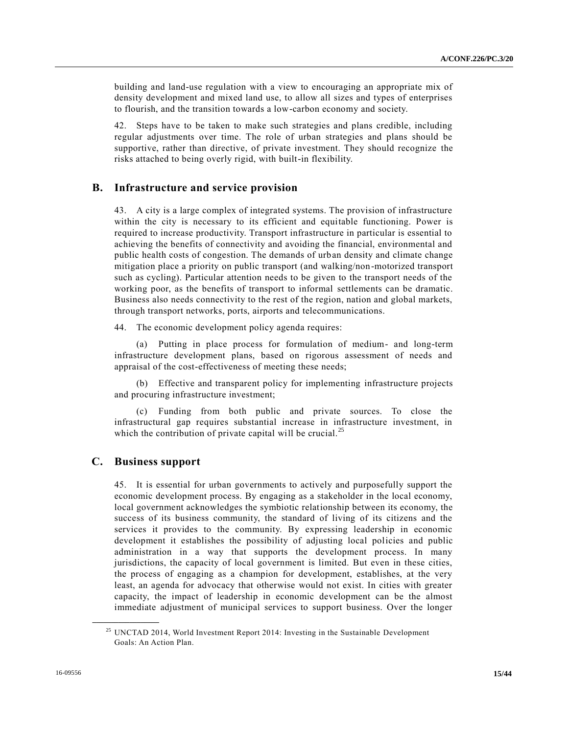building and land-use regulation with a view to encouraging an appropriate mix of density development and mixed land use, to allow all sizes and types of enterprises to flourish, and the transition towards a low-carbon economy and society.

42. Steps have to be taken to make such strategies and plans credible, including regular adjustments over time. The role of urban strategies and plans should be supportive, rather than directive, of private investment. They should recognize the risks attached to being overly rigid, with built-in flexibility.

## **B. Infrastructure and service provision**

43. A city is a large complex of integrated systems. The provision of infrastructure within the city is necessary to its efficient and equitable functioning. Power is required to increase productivity. Transport infrastructure in particular is essential to achieving the benefits of connectivity and avoiding the financial, environmental and public health costs of congestion. The demands of urban density and climate change mitigation place a priority on public transport (and walking/non-motorized transport such as cycling). Particular attention needs to be given to the transport needs of the working poor, as the benefits of transport to informal settlements can be dramatic. Business also needs connectivity to the rest of the region, nation and global markets, through transport networks, ports, airports and telecommunications.

44. The economic development policy agenda requires:

(a) Putting in place process for formulation of medium- and long-term infrastructure development plans, based on rigorous assessment of needs and appraisal of the cost-effectiveness of meeting these needs;

(b) Effective and transparent policy for implementing infrastructure projects and procuring infrastructure investment;

(c) Funding from both public and private sources. To close the infrastructural gap requires substantial increase in infrastructure investment, in which the contribution of private capital will be crucial.<sup>25</sup>

## **C. Business support**

**\_\_\_\_\_\_\_\_\_\_\_\_\_\_\_\_\_\_**

45. It is essential for urban governments to actively and purposefully support the economic development process. By engaging as a stakeholder in the local economy, local government acknowledges the symbiotic relationship between its economy, the success of its business community, the standard of living of its citizens and the services it provides to the community. By expressing leadership in economic development it establishes the possibility of adjusting local policies and public administration in a way that supports the development process. In many jurisdictions, the capacity of local government is limited. But even in these cities, the process of engaging as a champion for development, establishes, at the very least, an agenda for advocacy that otherwise would not exist. In cities with greater capacity, the impact of leadership in economic development can be the almost immediate adjustment of municipal services to support business. Over the longer

<sup>&</sup>lt;sup>25</sup> UNCTAD 2014, World Investment Report 2014: Investing in the Sustainable Development Goals: An Action Plan.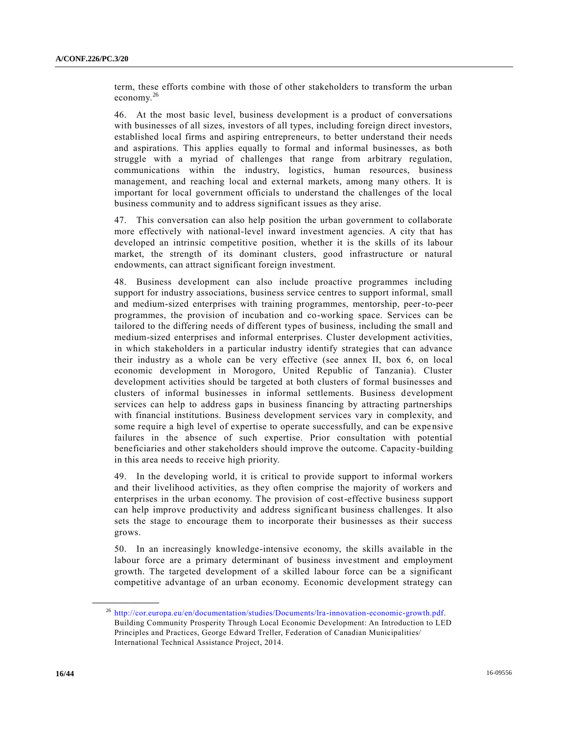term, these efforts combine with those of other stakeholders to transform the urban economy.<sup>26</sup>

46. At the most basic level, business development is a product of conversations with businesses of all sizes, investors of all types, including foreign direct investors, established local firms and aspiring entrepreneurs, to better understand their needs and aspirations. This applies equally to formal and informal businesses, as both struggle with a myriad of challenges that range from arbitrary regulation, communications within the industry, logistics, human resources, business management, and reaching local and external markets, among many others. It is important for local government officials to understand the challenges of the local business community and to address significant issues as they arise.

47. This conversation can also help position the urban government to collaborate more effectively with national-level inward investment agencies. A city that has developed an intrinsic competitive position, whether it is the skills of its labour market, the strength of its dominant clusters, good infrastructure or natural endowments, can attract significant foreign investment.

48. Business development can also include proactive programmes including support for industry associations, business service centres to support informal, small and medium-sized enterprises with training programmes, mentorship, peer-to-peer programmes, the provision of incubation and co-working space. Services can be tailored to the differing needs of different types of business, including the small and medium-sized enterprises and informal enterprises. Cluster development activities, in which stakeholders in a particular industry identify strategies that can advance their industry as a whole can be very effective (see annex II, box 6, on local economic development in Morogoro, United Republic of Tanzania). Cluster development activities should be targeted at both clusters of formal businesses and clusters of informal businesses in informal settlements. Business development services can help to address gaps in business financing by attracting partnerships with financial institutions. Business development services vary in complexity, and some require a high level of expertise to operate successfully, and can be expensive failures in the absence of such expertise. Prior consultation with potential beneficiaries and other stakeholders should improve the outcome. Capacity-building in this area needs to receive high priority.

49. In the developing world, it is critical to provide support to informal workers and their livelihood activities, as they often comprise the majority of workers and enterprises in the urban economy. The provision of cost-effective business support can help improve productivity and address significant business challenges. It also sets the stage to encourage them to incorporate their businesses as their success grows.

50. In an increasingly knowledge-intensive economy, the skills available in the labour force are a primary determinant of business investment and employment growth. The targeted development of a skilled labour force can be a significant competitive advantage of an urban economy. Economic development strategy can

<sup>26</sup> [http://cor.europa.eu/en/documentation/studies/Documents/lra](http://cor.europa.eu/en/documentation/studies/Documents/lra-innovation-economic-growth.pdf) -innovation-economic-growth.pdf. Building Community Prosperity Through Local Economic Development: An Introduction to LED Principles and Practices, George Edward Treller, Federation of Canadian Municipalities/ International Technical Assistance Project, 2014.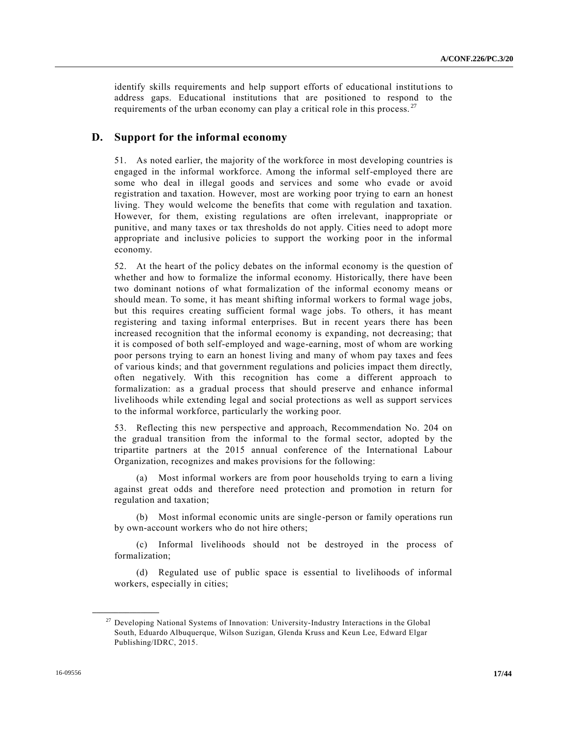identify skills requirements and help support efforts of educational institutions to address gaps. Educational institutions that are positioned to respond to the requirements of the urban economy can play a critical role in this process.  $27$ 

## **D. Support for the informal economy**

51. As noted earlier, the majority of the workforce in most developing countries is engaged in the informal workforce. Among the informal self-employed there are some who deal in illegal goods and services and some who evade or avoid registration and taxation. However, most are working poor trying to earn an honest living. They would welcome the benefits that come with regulation and taxation. However, for them, existing regulations are often irrelevant, inappropriate or punitive, and many taxes or tax thresholds do not apply. Cities need to adopt more appropriate and inclusive policies to support the working poor in the informal economy.

52. At the heart of the policy debates on the informal economy is the question of whether and how to formalize the informal economy. Historically, there have been two dominant notions of what formalization of the informal economy means or should mean. To some, it has meant shifting informal workers to formal wage jobs, but this requires creating sufficient formal wage jobs. To others, it has meant registering and taxing informal enterprises. But in recent years there has been increased recognition that the informal economy is expanding, not decreasing; that it is composed of both self-employed and wage-earning, most of whom are working poor persons trying to earn an honest living and many of whom pay taxes and fees of various kinds; and that government regulations and policies impact them directly, often negatively. With this recognition has come a different approach to formalization: as a gradual process that should preserve and enhance informal livelihoods while extending legal and social protections as well as support services to the informal workforce, particularly the working poor.

53. Reflecting this new perspective and approach, Recommendation No. 204 on the gradual transition from the informal to the formal sector, adopted by the tripartite partners at the 2015 annual conference of the International Labour Organization, recognizes and makes provisions for the following:

(a) Most informal workers are from poor households trying to earn a living against great odds and therefore need protection and promotion in return for regulation and taxation;

(b) Most informal economic units are single-person or family operations run by own-account workers who do not hire others;

(c) Informal livelihoods should not be destroyed in the process of formalization;

(d) Regulated use of public space is essential to livelihoods of informal workers, especially in cities;

<sup>&</sup>lt;sup>27</sup> Developing National Systems of Innovation: University-Industry Interactions in the Global South, Eduardo Albuquerque, Wilson Suzigan, Glenda Kruss and Keun Lee, Edward Elgar Publishing/IDRC, 2015.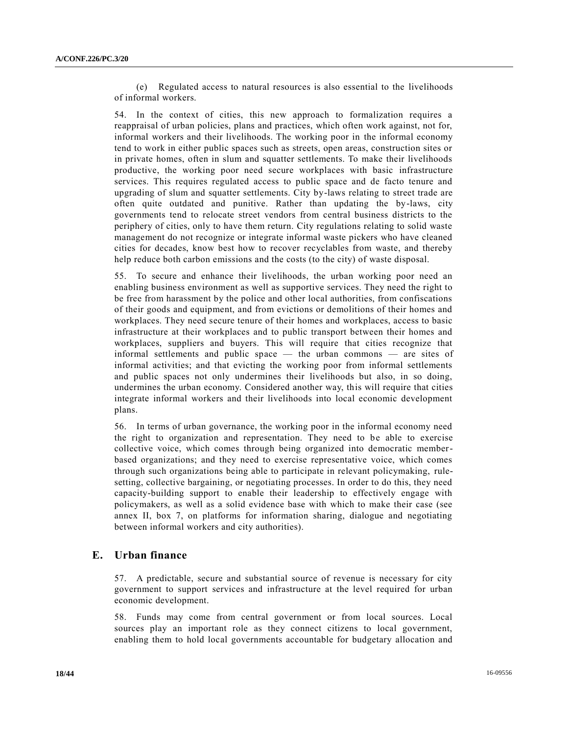(e) Regulated access to natural resources is also essential to the livelihoods of informal workers.

54. In the context of cities, this new approach to formalization requires a reappraisal of urban policies, plans and practices, which often work against, not for, informal workers and their livelihoods. The working poor in the informal economy tend to work in either public spaces such as streets, open areas, construction sites or in private homes, often in slum and squatter settlements. To make their livelihoods productive, the working poor need secure workplaces with basic infrastructure services. This requires regulated access to public space and de facto tenure and upgrading of slum and squatter settlements. City by-laws relating to street trade are often quite outdated and punitive. Rather than updating the by-laws, city governments tend to relocate street vendors from central business districts to the periphery of cities, only to have them return. City regulations relating to solid waste management do not recognize or integrate informal waste pickers who have cleaned cities for decades, know best how to recover recyclables from waste, and thereby help reduce both carbon emissions and the costs (to the city) of waste disposal.

55. To secure and enhance their livelihoods, the urban working poor need an enabling business environment as well as supportive services. They need the right to be free from harassment by the police and other local authorities, from confiscations of their goods and equipment, and from evictions or demolitions of their homes and workplaces. They need secure tenure of their homes and workplaces, access to basic infrastructure at their workplaces and to public transport between their homes and workplaces, suppliers and buyers. This will require that cities recognize that informal settlements and public space — the urban commons — are sites of informal activities; and that evicting the working poor from informal settlements and public spaces not only undermines their livelihoods but also, in so doing, undermines the urban economy. Considered another way, this will require that cities integrate informal workers and their livelihoods into local economic development plans.

56. In terms of urban governance, the working poor in the informal economy need the right to organization and representation. They need to be able to exercise collective voice, which comes through being organized into democratic memberbased organizations; and they need to exercise representative voice, which comes through such organizations being able to participate in relevant policymaking, rulesetting, collective bargaining, or negotiating processes. In order to do this, they need capacity-building support to enable their leadership to effectively engage with policymakers, as well as a solid evidence base with which to make their case (see annex II, box 7, on platforms for information sharing, dialogue and negotiating between informal workers and city authorities).

## **E. Urban finance**

57. A predictable, secure and substantial source of revenue is necessary for city government to support services and infrastructure at the level required for urban economic development.

58. Funds may come from central government or from local sources. Local sources play an important role as they connect citizens to local government, enabling them to hold local governments accountable for budgetary allocation and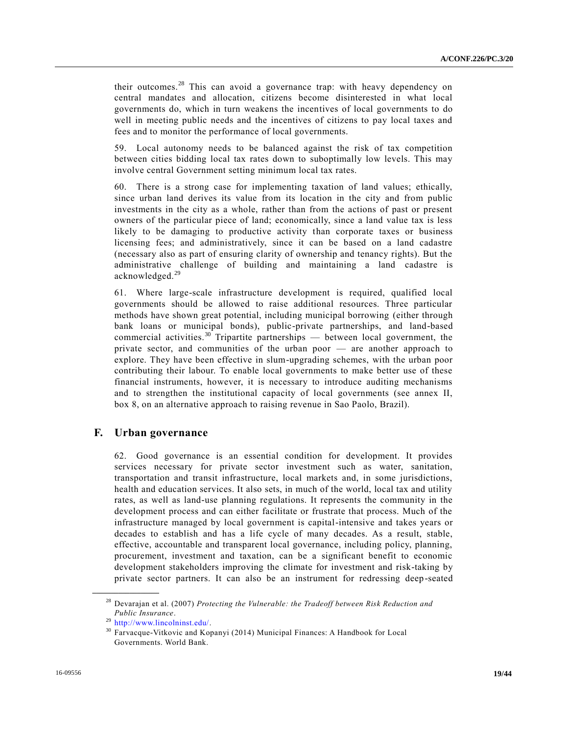their outcomes.<sup>28</sup> This can avoid a governance trap: with heavy dependency on central mandates and allocation, citizens become disinterested in what local governments do, which in turn weakens the incentives of local governments to do well in meeting public needs and the incentives of citizens to pay local taxes and fees and to monitor the performance of local governments.

59. Local autonomy needs to be balanced against the risk of tax competition between cities bidding local tax rates down to suboptimally low levels. This may involve central Government setting minimum local tax rates.

60. There is a strong case for implementing taxation of land values; ethically, since urban land derives its value from its location in the city and from public investments in the city as a whole, rather than from the actions of past or present owners of the particular piece of land; economically, since a land value tax is less likely to be damaging to productive activity than corporate taxes or business licensing fees; and administratively, since it can be based on a land cadastre (necessary also as part of ensuring clarity of ownership and tenancy rights). But the administrative challenge of building and maintaining a land cadastre is acknowledged.<sup>29</sup>

61. Where large-scale infrastructure development is required, qualified local governments should be allowed to raise additional resources. Three particular methods have shown great potential, including municipal borrowing (either through bank loans or municipal bonds), public-private partnerships, and land-based commercial activities.<sup>30</sup> Tripartite partnerships — between local government, the private sector, and communities of the urban poor — are another approach to explore. They have been effective in slum-upgrading schemes, with the urban poor contributing their labour. To enable local governments to make better use of these financial instruments, however, it is necessary to introduce auditing mechanisms and to strengthen the institutional capacity of local governments (see annex II, box 8, on an alternative approach to raising revenue in Sao Paolo, Brazil).

## **F. Urban governance**

62. Good governance is an essential condition for development. It provides services necessary for private sector investment such as water, sanitation, transportation and transit infrastructure, local markets and, in some jurisdictions, health and education services. It also sets, in much of the world, local tax and utility rates, as well as land-use planning regulations. It represents the community in the development process and can either facilitate or frustrate that process. Much of the infrastructure managed by local government is capital-intensive and takes years or decades to establish and has a life cycle of many decades. As a result, stable, effective, accountable and transparent local governance, including policy, planning, procurement, investment and taxation, can be a significant benefit to economic development stakeholders improving the climate for investment and risk-taking by private sector partners. It can also be an instrument for redressing deep -seated

<sup>28</sup> Devarajan et al. (2007) *Protecting the Vulnerable: the Tradeoff between Risk Reduction and Public Insurance*.

<sup>29</sup> [http://www.lincolninst.edu/.](http://www.lincolninst.edu/)

<sup>&</sup>lt;sup>30</sup> Farvacque-Vitkovic and Kopanyi (2014) Municipal Finances: A Handbook for Local Governments. World Bank.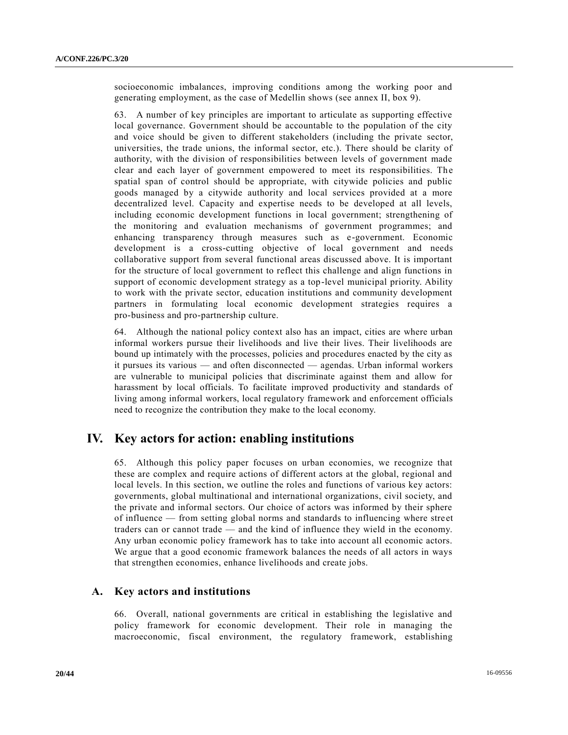socioeconomic imbalances, improving conditions among the working poor and generating employment, as the case of Medellin shows (see annex II, box 9).

63. A number of key principles are important to articulate as supporting effective local governance. Government should be accountable to the population of the city and voice should be given to different stakeholders (including the private sector, universities, the trade unions, the informal sector, etc.). There should be clarity of authority, with the division of responsibilities between levels of government made clear and each layer of government empowered to meet its responsibilities. The spatial span of control should be appropriate, with citywide policies and public goods managed by a citywide authority and local services provided at a more decentralized level. Capacity and expertise needs to be developed at all levels, including economic development functions in local government; strengthening of the monitoring and evaluation mechanisms of government programmes; and enhancing transparency through measures such as e-government. Economic development is a cross-cutting objective of local government and needs collaborative support from several functional areas discussed above. It is important for the structure of local government to reflect this challenge and align functions in support of economic development strategy as a top-level municipal priority. Ability to work with the private sector, education institutions and community development partners in formulating local economic development strategies requires a pro-business and pro-partnership culture.

64. Although the national policy context also has an impact, cities are where urban informal workers pursue their livelihoods and live their lives. Their livelihoods are bound up intimately with the processes, policies and procedures enacted by the city as it pursues its various — and often disconnected — agendas. Urban informal workers are vulnerable to municipal policies that discriminate against them and allow for harassment by local officials. To facilitate improved productivity and standards of living among informal workers, local regulatory framework and enforcement officials need to recognize the contribution they make to the local economy.

# **IV. Key actors for action: enabling institutions**

65. Although this policy paper focuses on urban economies, we recognize that these are complex and require actions of different actors at the global, regional and local levels. In this section, we outline the roles and functions of various key actors: governments, global multinational and international organizations, civil society, and the private and informal sectors. Our choice of actors was informed by their sphere of influence — from setting global norms and standards to influencing where stre et traders can or cannot trade — and the kind of influence they wield in the economy. Any urban economic policy framework has to take into account all economic actors. We argue that a good economic framework balances the needs of all actors in ways that strengthen economies, enhance livelihoods and create jobs.

## **A. Key actors and institutions**

66. Overall, national governments are critical in establishing the legislative and policy framework for economic development. Their role in managing the macroeconomic, fiscal environment, the regulatory framework, establishing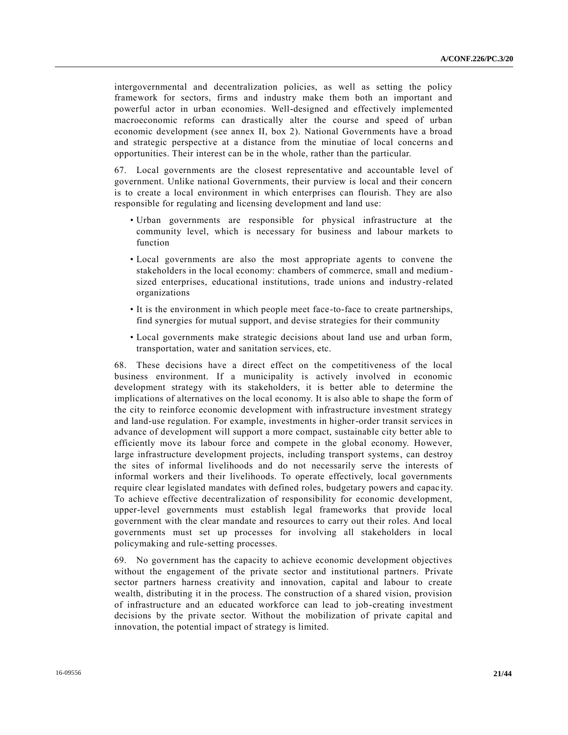intergovernmental and decentralization policies, as well as setting the policy framework for sectors, firms and industry make them both an important and powerful actor in urban economies. Well-designed and effectively implemented macroeconomic reforms can drastically alter the course and speed of urban economic development (see annex II, box 2). National Governments have a broad and strategic perspective at a distance from the minutiae of local concerns an d opportunities. Their interest can be in the whole, rather than the particular.

67. Local governments are the closest representative and accountable level of government. Unlike national Governments, their purview is local and their concern is to create a local environment in which enterprises can flourish. They are also responsible for regulating and licensing development and land use:

- Urban governments are responsible for physical infrastructure at the community level, which is necessary for business and labour markets to function
- Local governments are also the most appropriate agents to convene the stakeholders in the local economy: chambers of commerce, small and mediumsized enterprises, educational institutions, trade unions and industry-related organizations
- It is the environment in which people meet face-to-face to create partnerships, find synergies for mutual support, and devise strategies for their community
- Local governments make strategic decisions about land use and urban form, transportation, water and sanitation services, etc.

68. These decisions have a direct effect on the competitiveness of the local business environment. If a municipality is actively involved in economic development strategy with its stakeholders, it is better able to determine the implications of alternatives on the local economy. It is also able to shape the form of the city to reinforce economic development with infrastructure investment strategy and land-use regulation. For example, investments in higher-order transit services in advance of development will support a more compact, sustainable city better able to efficiently move its labour force and compete in the global economy. However, large infrastructure development projects, including transport systems, can destroy the sites of informal livelihoods and do not necessarily serve the interests of informal workers and their livelihoods. To operate effectively, local governments require clear legislated mandates with defined roles, budgetary powers and capac ity. To achieve effective decentralization of responsibility for economic development, upper-level governments must establish legal frameworks that provide local government with the clear mandate and resources to carry out their roles. And local governments must set up processes for involving all stakeholders in local policymaking and rule-setting processes.

69. No government has the capacity to achieve economic development objectives without the engagement of the private sector and institutional partners. Private sector partners harness creativity and innovation, capital and labour to create wealth, distributing it in the process. The construction of a shared vision, provision of infrastructure and an educated workforce can lead to job-creating investment decisions by the private sector. Without the mobilization of private capital and innovation, the potential impact of strategy is limited.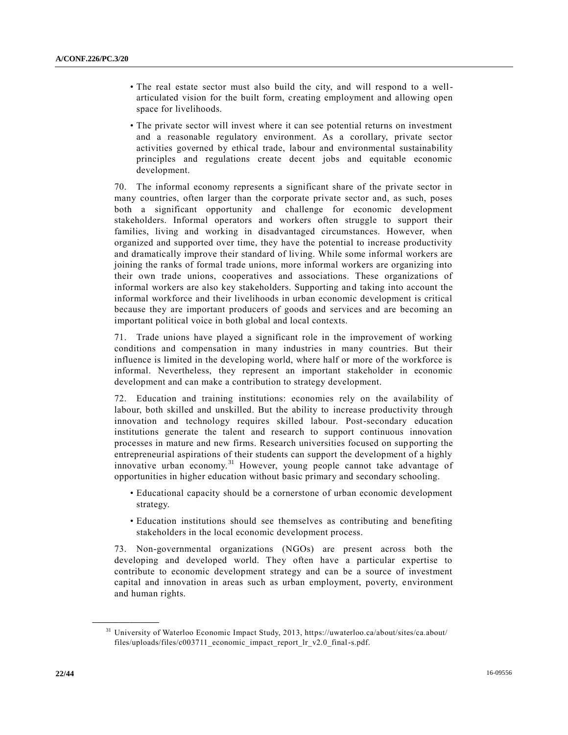- The real estate sector must also build the city, and will respond to a wellarticulated vision for the built form, creating employment and allowing open space for livelihoods.
- The private sector will invest where it can see potential returns on investment and a reasonable regulatory environment. As a corollary, private sector activities governed by ethical trade, labour and environmental sustainability principles and regulations create decent jobs and equitable economic development.

70. The informal economy represents a significant share of the private sector in many countries, often larger than the corporate private sector and, as such, poses both a significant opportunity and challenge for economic development stakeholders. Informal operators and workers often struggle to support their families, living and working in disadvantaged circumstances. However, when organized and supported over time, they have the potential to increase productivity and dramatically improve their standard of living. While some informal workers are joining the ranks of formal trade unions, more informal workers are organizing into their own trade unions, cooperatives and associations. These organizations of informal workers are also key stakeholders. Supporting and taking into account the informal workforce and their livelihoods in urban economic development is critical because they are important producers of goods and services and are becoming an important political voice in both global and local contexts.

71. Trade unions have played a significant role in the improvement of working conditions and compensation in many industries in many countries. But their influence is limited in the developing world, where half or more of the workforce is informal. Nevertheless, they represent an important stakeholder in economic development and can make a contribution to strategy development.

72. Education and training institutions: economies rely on the availability of labour, both skilled and unskilled. But the ability to increase productivity through innovation and technology requires skilled labour. Post-secondary education institutions generate the talent and research to support continuous innovation processes in mature and new firms. Research universities focused on supporting the entrepreneurial aspirations of their students can support the development of a highly innovative urban economy.<sup>31</sup> However, young people cannot take advantage of opportunities in higher education without basic primary and secondary schooling.

- Educational capacity should be a cornerstone of urban economic development strategy.
- Education institutions should see themselves as contributing and benefiting stakeholders in the local economic development process.

73. Non-governmental organizations (NGOs) are present across both the developing and developed world. They often have a particular expertise to contribute to economic development strategy and can be a source of investment capital and innovation in areas such as urban employment, poverty, environment and human rights.

<sup>31</sup> University of Waterloo Economic Impact Study, 2013, https://uwaterloo.ca/about/sites/ca.about/ files/uploads/files/c003711\_economic\_impact\_report\_lr\_v2.0\_final-s.pdf.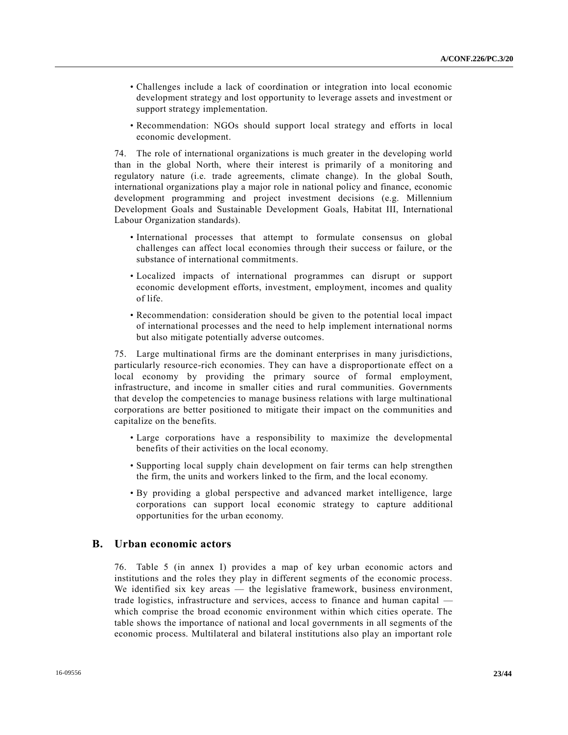- Challenges include a lack of coordination or integration into local economic development strategy and lost opportunity to leverage assets and investment or support strategy implementation.
- Recommendation: NGOs should support local strategy and efforts in local economic development.

74. The role of international organizations is much greater in the developing world than in the global North, where their interest is primarily of a monitoring and regulatory nature (i.e. trade agreements, climate change). In the global South, international organizations play a major role in national policy and finance, economic development programming and project investment decisions (e.g. Millennium Development Goals and Sustainable Development Goals, Habitat III, International Labour Organization standards).

- International processes that attempt to formulate consensus on global challenges can affect local economies through their success or failure, or the substance of international commitments.
- Localized impacts of international programmes can disrupt or support economic development efforts, investment, employment, incomes and quality of life.
- Recommendation: consideration should be given to the potential local impact of international processes and the need to help implement international norms but also mitigate potentially adverse outcomes.

75. Large multinational firms are the dominant enterprises in many jurisdictions, particularly resource-rich economies. They can have a disproportionate effect on a local economy by providing the primary source of formal employment, infrastructure, and income in smaller cities and rural communities. Governments that develop the competencies to manage business relations with large multinational corporations are better positioned to mitigate their impact on the communities and capitalize on the benefits.

- Large corporations have a responsibility to maximize the developmental benefits of their activities on the local economy.
- Supporting local supply chain development on fair terms can help strengthen the firm, the units and workers linked to the firm, and the local economy.
- By providing a global perspective and advanced market intelligence, large corporations can support local economic strategy to capture additional opportunities for the urban economy.

## **B. Urban economic actors**

76. Table 5 (in annex I) provides a map of key urban economic actors and institutions and the roles they play in different segments of the economic process. We identified six key areas — the legislative framework, business environment, trade logistics, infrastructure and services, access to finance and human capital which comprise the broad economic environment within which cities operate. The table shows the importance of national and local governments in all segments of the economic process. Multilateral and bilateral institutions also play an important role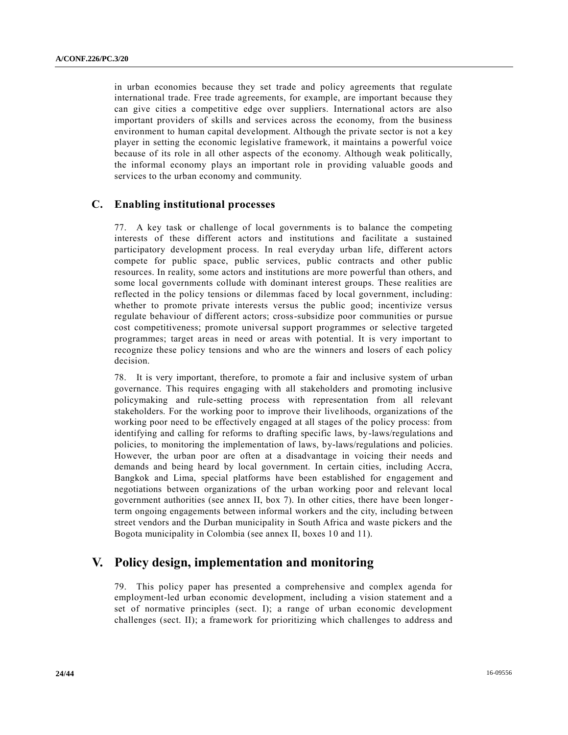in urban economies because they set trade and policy agreements that regulate international trade. Free trade agreements, for example, are important because they can give cities a competitive edge over suppliers. International actors are also important providers of skills and services across the economy, from the business environment to human capital development. Although the private sector is not a key player in setting the economic legislative framework, it maintains a powerful voice because of its role in all other aspects of the economy. Although weak politically, the informal economy plays an important role in providing valuable goods and services to the urban economy and community.

## **C. Enabling institutional processes**

77. A key task or challenge of local governments is to balance the competing interests of these different actors and institutions and facilitate a sustained participatory development process. In real everyday urban life, different actors compete for public space, public services, public contracts and other public resources. In reality, some actors and institutions are more powerful than others, and some local governments collude with dominant interest groups. These realities are reflected in the policy tensions or dilemmas faced by local government, including: whether to promote private interests versus the public good; incentivize versus regulate behaviour of different actors; cross-subsidize poor communities or pursue cost competitiveness; promote universal support programmes or selective targeted programmes; target areas in need or areas with potential. It is very important to recognize these policy tensions and who are the winners and losers of each policy decision.

78. It is very important, therefore, to promote a fair and inclusive system of urban governance. This requires engaging with all stakeholders and promoting inclusive policymaking and rule-setting process with representation from all relevant stakeholders. For the working poor to improve their livelihoods, organizations of the working poor need to be effectively engaged at all stages of the policy process: from identifying and calling for reforms to drafting specific laws, by-laws/regulations and policies, to monitoring the implementation of laws, by-laws/regulations and policies. However, the urban poor are often at a disadvantage in voicing their needs and demands and being heard by local government. In certain cities, including Accra, Bangkok and Lima, special platforms have been established for engagement and negotiations between organizations of the urban working poor and relevant local government authorities (see annex II, box 7). In other cities, there have been longerterm ongoing engagements between informal workers and the city, including be tween street vendors and the Durban municipality in South Africa and waste pickers and the Bogota municipality in Colombia (see annex II, boxes 10 and 11).

# **V. Policy design, implementation and monitoring**

79. This policy paper has presented a comprehensive and complex agenda for employment-led urban economic development, including a vision statement and a set of normative principles (sect. I); a range of urban economic development challenges (sect. II); a framework for prioritizing which challenges to address and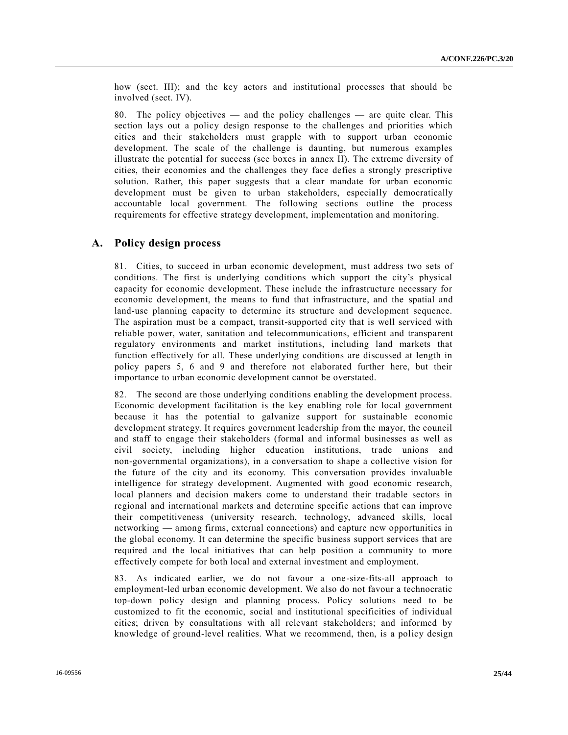how (sect. III); and the key actors and institutional processes that should be involved (sect. IV).

80. The policy objectives — and the policy challenges — are quite clear. This section lays out a policy design response to the challenges and priorities which cities and their stakeholders must grapple with to support urban economic development. The scale of the challenge is daunting, but numerous examples illustrate the potential for success (see boxes in annex II). The extreme diversity of cities, their economies and the challenges they face defies a strongly prescriptive solution. Rather, this paper suggests that a clear mandate for urban economic development must be given to urban stakeholders, especially democratically accountable local government. The following sections outline the process requirements for effective strategy development, implementation and monitoring.

## **A. Policy design process**

81. Cities, to succeed in urban economic development, must address two sets of conditions. The first is underlying conditions which support the city's physical capacity for economic development. These include the infrastructure necessary for economic development, the means to fund that infrastructure, and the spatial and land-use planning capacity to determine its structure and development sequence. The aspiration must be a compact, transit-supported city that is well serviced with reliable power, water, sanitation and telecommunications, efficient and transparent regulatory environments and market institutions, including land markets that function effectively for all. These underlying conditions are discussed at length in policy papers 5, 6 and 9 and therefore not elaborated further here, but their importance to urban economic development cannot be overstated.

82. The second are those underlying conditions enabling the development process. Economic development facilitation is the key enabling role for local government because it has the potential to galvanize support for sustainable economic development strategy. It requires government leadership from the mayor, the council and staff to engage their stakeholders (formal and informal businesses as well as civil society, including higher education institutions, trade unions and non-governmental organizations), in a conversation to shape a collective vision for the future of the city and its economy. This conversation provides invaluable intelligence for strategy development. Augmented with good economic research, local planners and decision makers come to understand their tradable sectors in regional and international markets and determine specific actions that can improve their competitiveness (university research, technology, advanced skills, local networking — among firms, external connections) and capture new opportunities in the global economy. It can determine the specific business support services that are required and the local initiatives that can help position a community to more effectively compete for both local and external investment and employment.

83. As indicated earlier, we do not favour a one-size-fits-all approach to employment-led urban economic development. We also do not favour a technocratic top-down policy design and planning process. Policy solutions need to be customized to fit the economic, social and institutional specificities of individual cities; driven by consultations with all relevant stakeholders; and informed by knowledge of ground-level realities. What we recommend, then, is a policy design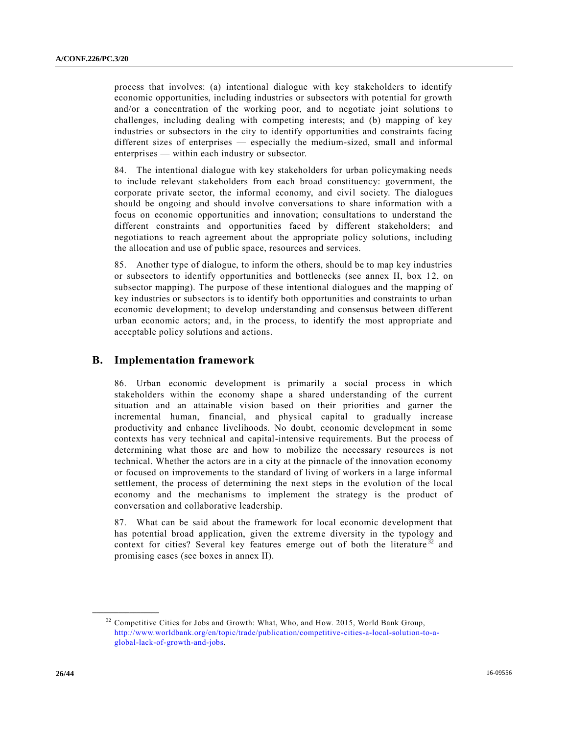process that involves: (a) intentional dialogue with key stakeholders to identify economic opportunities, including industries or subsectors with potential for growth and/or a concentration of the working poor, and to negotiate joint solutions to challenges, including dealing with competing interests; and (b) mapping of key industries or subsectors in the city to identify opportunities and constraints facing different sizes of enterprises — especially the medium-sized, small and informal enterprises — within each industry or subsector.

84. The intentional dialogue with key stakeholders for urban policymaking needs to include relevant stakeholders from each broad constituency: government, the corporate private sector, the informal economy, and civil society. The dialogues should be ongoing and should involve conversations to share information with a focus on economic opportunities and innovation; consultations to understand the different constraints and opportunities faced by different stakeholders; and negotiations to reach agreement about the appropriate policy solutions, including the allocation and use of public space, resources and services.

85. Another type of dialogue, to inform the others, should be to map key industries or subsectors to identify opportunities and bottlenecks (see annex II, box 12, on subsector mapping). The purpose of these intentional dialogues and the mapping of key industries or subsectors is to identify both opportunities and constraints to urban economic development; to develop understanding and consensus between different urban economic actors; and, in the process, to identify the most appropriate and acceptable policy solutions and actions.

## **B. Implementation framework**

86. Urban economic development is primarily a social process in which stakeholders within the economy shape a shared understanding of the current situation and an attainable vision based on their priorities and garner the incremental human, financial, and physical capital to gradually increase productivity and enhance livelihoods. No doubt, economic development in some contexts has very technical and capital-intensive requirements. But the process of determining what those are and how to mobilize the necessary resources is not technical. Whether the actors are in a city at the pinnacle of the innovation economy or focused on improvements to the standard of living of workers in a large informal settlement, the process of determining the next steps in the evolution of the local economy and the mechanisms to implement the strategy is the product of conversation and collaborative leadership.

87. What can be said about the framework for local economic development that has potential broad application, given the extreme diversity in the typology and context for cities? Several key features emerge out of both the literature<sup>32</sup> and promising cases (see boxes in annex II).

 $32$  Competitive Cities for Jobs and Growth: What, Who, and How. 2015, World Bank Group, [http://www.worldbank.org/en/topic/trade/publication/competitive-cities-a-local-solution-to-a](http://www.worldbank.org/en/topic/trade/publication/competitive-cities-a-local-solution-to-a-global-lack-of-growth-and-jobs)[global-lack-of-growth-and-jobs.](http://www.worldbank.org/en/topic/trade/publication/competitive-cities-a-local-solution-to-a-global-lack-of-growth-and-jobs)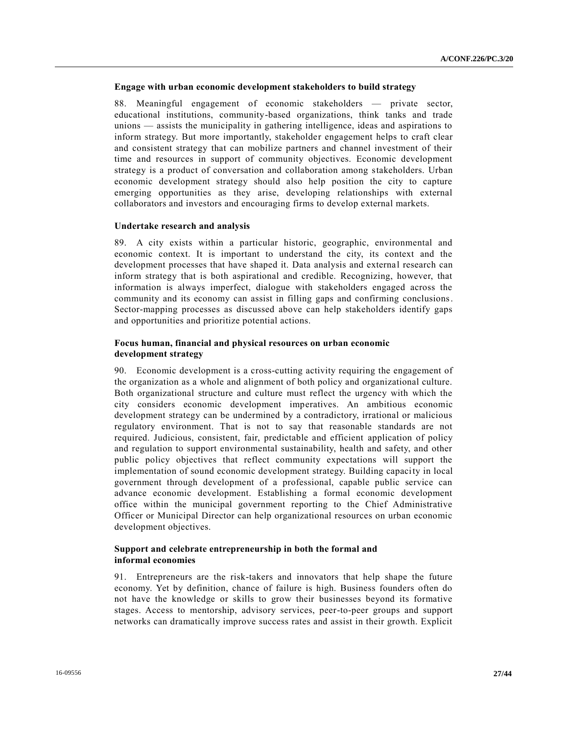## **Engage with urban economic development stakeholders to build strategy**

88. Meaningful engagement of economic stakeholders — private sector, educational institutions, community-based organizations, think tanks and trade unions — assists the municipality in gathering intelligence, ideas and aspirations to inform strategy. But more importantly, stakeholder engagement helps to craft clear and consistent strategy that can mobilize partners and channel investment of their time and resources in support of community objectives. Economic development strategy is a product of conversation and collaboration among stakeholders. Urban economic development strategy should also help position the city to capture emerging opportunities as they arise, developing relationships with external collaborators and investors and encouraging firms to develop external markets.

#### **Undertake research and analysis**

89. A city exists within a particular historic, geographic, environmental and economic context. It is important to understand the city, its context and the development processes that have shaped it. Data analysis and external research can inform strategy that is both aspirational and credible. Recognizing, however, that information is always imperfect, dialogue with stakeholders engaged across the community and its economy can assist in filling gaps and confirming conclusions. Sector-mapping processes as discussed above can help stakeholders identify gaps and opportunities and prioritize potential actions.

### **Focus human, financial and physical resources on urban economic development strategy**

90. Economic development is a cross-cutting activity requiring the engagement of the organization as a whole and alignment of both policy and organizational culture. Both organizational structure and culture must reflect the urgency with which the city considers economic development imperatives. An ambitious economic development strategy can be undermined by a contradictory, irrational or malicious regulatory environment. That is not to say that reasonable standards are not required. Judicious, consistent, fair, predictable and efficient application of policy and regulation to support environmental sustainability, health and safety, and other public policy objectives that reflect community expectations will support the implementation of sound economic development strategy. Building capacity in local government through development of a professional, capable public service can advance economic development. Establishing a formal economic development office within the municipal government reporting to the Chief Administrative Officer or Municipal Director can help organizational resources on urban economic development objectives.

## **Support and celebrate entrepreneurship in both the formal and informal economies**

91. Entrepreneurs are the risk-takers and innovators that help shape the future economy. Yet by definition, chance of failure is high. Business founders often do not have the knowledge or skills to grow their businesses beyond its formative stages. Access to mentorship, advisory services, peer-to-peer groups and support networks can dramatically improve success rates and assist in their growth. Explicit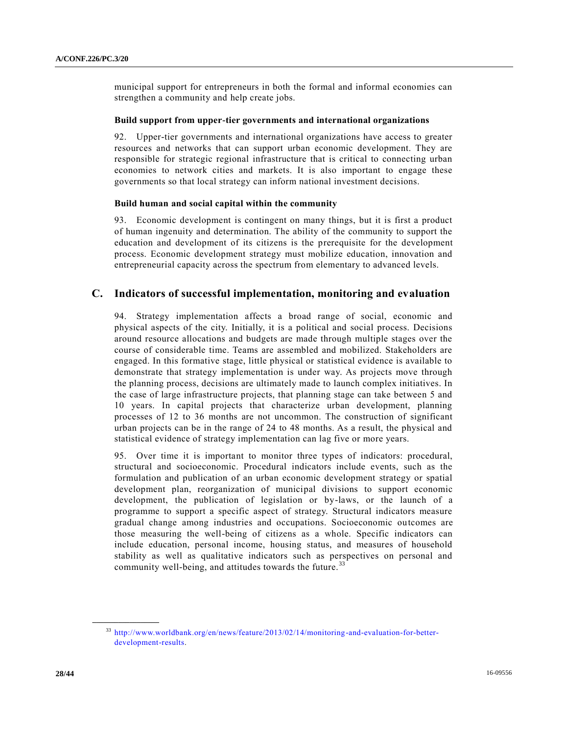municipal support for entrepreneurs in both the formal and informal economies can strengthen a community and help create jobs.

### **Build support from upper-tier governments and international organizations**

92. Upper-tier governments and international organizations have access to greater resources and networks that can support urban economic development. They are responsible for strategic regional infrastructure that is critical to connecting urban economies to network cities and markets. It is also important to engage these governments so that local strategy can inform national investment decisions.

### **Build human and social capital within the community**

93. Economic development is contingent on many things, but it is first a product of human ingenuity and determination. The ability of the community to support the education and development of its citizens is the prerequisite for the development process. Economic development strategy must mobilize education, innovation and entrepreneurial capacity across the spectrum from elementary to advanced levels.

## **C. Indicators of successful implementation, monitoring and evaluation**

94. Strategy implementation affects a broad range of social, economic and physical aspects of the city. Initially, it is a political and social process. Decisions around resource allocations and budgets are made through multiple stages over the course of considerable time. Teams are assembled and mobilized. Stakeholders are engaged. In this formative stage, little physical or statistical evidence is available to demonstrate that strategy implementation is under way. As projects move through the planning process, decisions are ultimately made to launch complex initiatives. In the case of large infrastructure projects, that planning stage can take between 5 and 10 years. In capital projects that characterize urban development, planning processes of 12 to 36 months are not uncommon. The construction of significant urban projects can be in the range of 24 to 48 months. As a result, the physical and statistical evidence of strategy implementation can lag five or more years.

95. Over time it is important to monitor three types of indicators: procedural, structural and socioeconomic. Procedural indicators include events, such as the formulation and publication of an urban economic development strategy or spatial development plan, reorganization of municipal divisions to support economic development, the publication of legislation or by-laws, or the launch of a programme to support a specific aspect of strategy. Structural indicators measure gradual change among industries and occupations. Socioeconomic outcomes are those measuring the well-being of citizens as a whole. Specific indicators can include education, personal income, housing status, and measures of household stability as well as qualitative indicators such as perspectives on personal and community well-being, and attitudes towards the future.<sup>33</sup>

<sup>33</sup> [http://www.worldbank.org/en/news/feature/2013/02/14/monitoring-and-evaluation-for-better](http://www.worldbank.org/en/news/feature/2013/02/14/monitoring-and-evaluation-for-better-development-results)[development-results.](http://www.worldbank.org/en/news/feature/2013/02/14/monitoring-and-evaluation-for-better-development-results)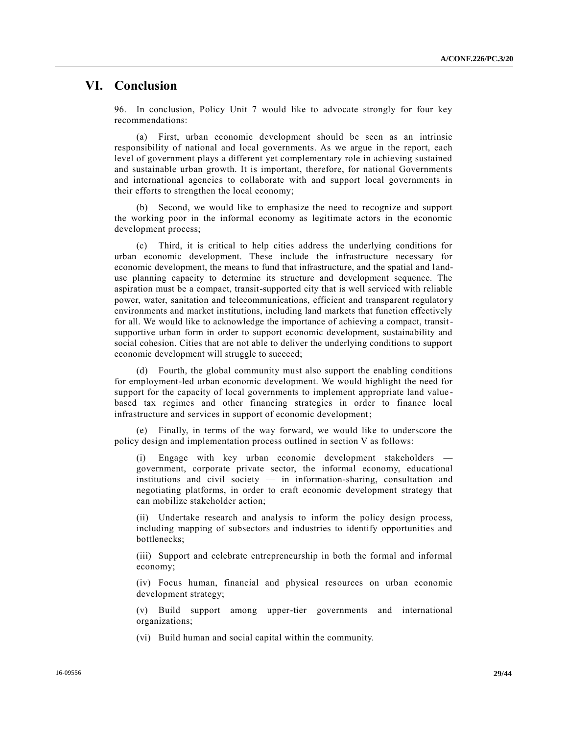## **VI. Conclusion**

96. In conclusion, Policy Unit 7 would like to advocate strongly for four key recommendations:

(a) First, urban economic development should be seen as an intrinsic responsibility of national and local governments. As we argue in the report, each level of government plays a different yet complementary role in achieving sustained and sustainable urban growth. It is important, therefore, for national Governments and international agencies to collaborate with and support local governments in their efforts to strengthen the local economy;

(b) Second, we would like to emphasize the need to recognize and support the working poor in the informal economy as legitimate actors in the economic development process;

(c) Third, it is critical to help cities address the underlying conditions for urban economic development. These include the infrastructure necessary for economic development, the means to fund that infrastructure, and the spatial and l anduse planning capacity to determine its structure and development sequence. The aspiration must be a compact, transit-supported city that is well serviced with reliable power, water, sanitation and telecommunications, efficient and transparent regulatory environments and market institutions, including land markets that function effectively for all. We would like to acknowledge the importance of achieving a compact, transitsupportive urban form in order to support economic development, sustainability and social cohesion. Cities that are not able to deliver the underlying conditions to support economic development will struggle to succeed;

(d) Fourth, the global community must also support the enabling conditions for employment-led urban economic development. We would highlight the need for support for the capacity of local governments to implement appropriate land value based tax regimes and other financing strategies in order to finance local infrastructure and services in support of economic development;

(e) Finally, in terms of the way forward, we would like to underscore the policy design and implementation process outlined in section V as follows:

Engage with key urban economic development stakeholders government, corporate private sector, the informal economy, educational institutions and civil society — in information-sharing, consultation and negotiating platforms, in order to craft economic development strategy that can mobilize stakeholder action;

(ii) Undertake research and analysis to inform the policy design process, including mapping of subsectors and industries to identify opportunities and bottlenecks;

(iii) Support and celebrate entrepreneurship in both the formal and informal economy;

(iv) Focus human, financial and physical resources on urban economic development strategy;

(v) Build support among upper-tier governments and international organizations;

(vi) Build human and social capital within the community.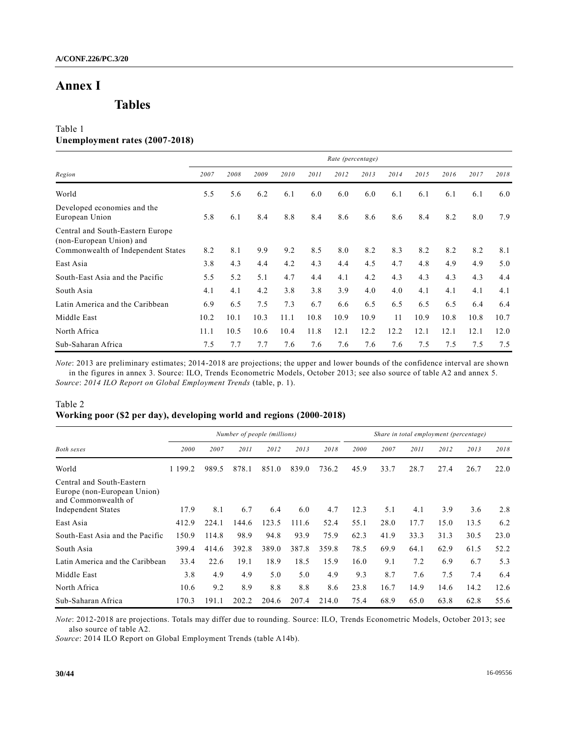# **Annex I**

**Tables** 

## Table 1 **Unemployment rates (2007-2018)**

|                                                                                                    | Rate (percentage) |      |      |      |      |      |      |      |      |      |      |      |
|----------------------------------------------------------------------------------------------------|-------------------|------|------|------|------|------|------|------|------|------|------|------|
| Region                                                                                             | 2007              | 2008 | 2009 | 2010 | 2011 | 2012 | 2013 | 2014 | 2015 | 2016 | 2017 | 2018 |
| World                                                                                              | 5.5               | 5.6  | 6.2  | 6.1  | 6.0  | 6.0  | 6.0  | 6.1  | 6.1  | 6.1  | 6.1  | 6.0  |
| Developed economies and the<br>European Union                                                      | 5.8               | 6.1  | 8.4  | 8.8  | 8.4  | 8.6  | 8.6  | 8.6  | 8.4  | 8.2  | 8.0  | 7.9  |
| Central and South-Eastern Europe<br>(non-European Union) and<br>Commonwealth of Independent States | 8.2               | 8.1  | 9.9  | 9.2  | 8.5  | 8.0  | 8.2  | 8.3  | 8.2  | 8.2  | 8.2  | 8.1  |
| East Asia                                                                                          | 3.8               | 4.3  | 4.4  | 4.2  | 4.3  | 4.4  | 4.5  | 4.7  | 4.8  | 4.9  | 4.9  | 5.0  |
| South-East Asia and the Pacific                                                                    | 5.5               | 5.2  | 5.1  | 4.7  | 4.4  | 4.1  | 4.2  | 4.3  | 4.3  | 4.3  | 4.3  | 4.4  |
| South Asia                                                                                         | 4.1               | 4.1  | 4.2  | 3.8  | 3.8  | 3.9  | 4.0  | 4.0  | 4.1  | 4.1  | 4.1  | 4.1  |
| Latin America and the Caribbean                                                                    | 6.9               | 6.5  | 7.5  | 7.3  | 6.7  | 6.6  | 6.5  | 6.5  | 6.5  | 6.5  | 6.4  | 6.4  |
| Middle East                                                                                        | 10.2              | 10.1 | 10.3 | 11.1 | 10.8 | 10.9 | 10.9 | 11   | 10.9 | 10.8 | 10.8 | 10.7 |
| North Africa                                                                                       | 11.1              | 10.5 | 10.6 | 10.4 | 11.8 | 12.1 | 12.2 | 12.2 | 12.1 | 12.1 | 12.1 | 12.0 |
| Sub-Saharan Africa                                                                                 | 7.5               | 7.7  | 7.7  | 7.6  | 7.6  | 7.6  | 7.6  | 7.6  | 7.5  | 7.5  | 7.5  | 7.5  |

*Note*: 2013 are preliminary estimates; 2014-2018 are projections; the upper and lower bounds of the confidence interval are shown in the figures in annex 3. Source: ILO, Trends Econometric Models, October 2013; see also source of table A2 and annex 5. *Source*: *2014 ILO Report on Global Employment Trends* (table, p. 1).

## Table 2 **Working poor (\$2 per day), developing world and regions (2000-2018)**

|                                                                                                              | Number of people (millions) |       |       |       |       |       | Share in total employment (percentage) |      |      |      |      |      |
|--------------------------------------------------------------------------------------------------------------|-----------------------------|-------|-------|-------|-------|-------|----------------------------------------|------|------|------|------|------|
| <b>Both sexes</b>                                                                                            | 2000                        | 2007  | 2011  | 2012  | 2013  | 2018  | 2000                                   | 2007 | 2011 | 2012 | 2013 | 2018 |
| World                                                                                                        | 1 199.2                     | 989.5 | 878.1 | 851.0 | 839.0 | 736.2 | 45.9                                   | 33.7 | 28.7 | 27.4 | 26.7 | 22.0 |
| Central and South-Eastern<br>Europe (non-European Union)<br>and Commonwealth of<br><b>Independent States</b> | 17.9                        | 8.1   | 6.7   | 6.4   | 6.0   | 4.7   | 12.3                                   | 5.1  | 4.1  | 3.9  | 3.6  | 2.8  |
| East Asia                                                                                                    | 412.9                       | 224.1 | 144.6 | 123.5 | 111.6 | 52.4  | 55.1                                   | 28.0 | 17.7 | 15.0 | 13.5 | 6.2  |
| South-East Asia and the Pacific                                                                              | 150.9                       | 114.8 | 98.9  | 94.8  | 93.9  | 75.9  | 62.3                                   | 41.9 | 33.3 | 31.3 | 30.5 | 23.0 |
| South Asia                                                                                                   | 399.4                       | 414.6 | 392.8 | 389.0 | 387.8 | 359.8 | 78.5                                   | 69.9 | 64.1 | 62.9 | 61.5 | 52.2 |
| Latin America and the Caribbean                                                                              | 33.4                        | 22.6  | 19.1  | 18.9  | 18.5  | 15.9  | 16.0                                   | 9.1  | 7.2  | 6.9  | 6.7  | 5.3  |
| Middle East                                                                                                  | 3.8                         | 4.9   | 4.9   | 5.0   | 5.0   | 4.9   | 9.3                                    | 8.7  | 7.6  | 7.5  | 7.4  | 6.4  |
| North Africa                                                                                                 | 10.6                        | 9.2   | 8.9   | 8.8   | 8.8   | 8.6   | 23.8                                   | 16.7 | 14.9 | 14.6 | 14.2 | 12.6 |
| Sub-Saharan Africa                                                                                           | 170.3                       | 191.1 | 202.2 | 204.6 | 207.4 | 214.0 | 75.4                                   | 68.9 | 65.0 | 63.8 | 62.8 | 55.6 |

*Note*: 2012-2018 are projections. Totals may differ due to rounding. Source: ILO, Trends Econometric Models, October 2013; see also source of table A2.

*Source*: 2014 ILO Report on Global Employment Trends (table A14b).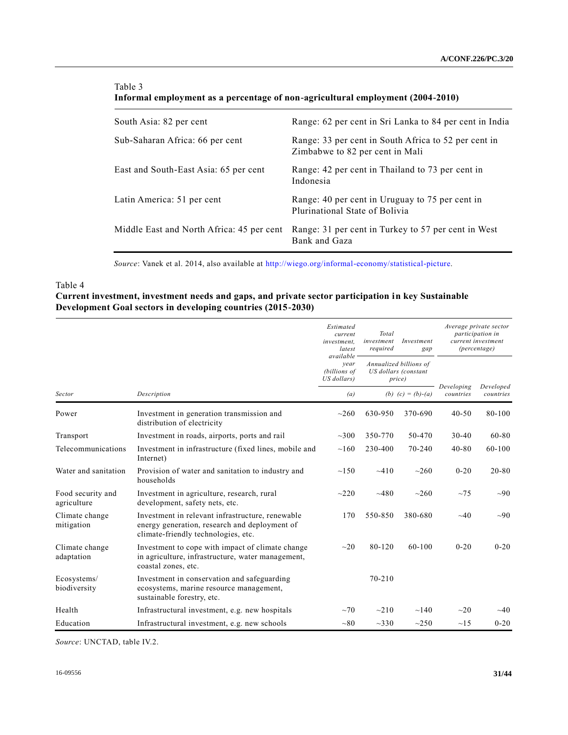### Table 3

**Informal employment as a percentage of non-agricultural employment (2004-2010)**

| South Asia: 82 per cent                   | Range: 62 per cent in Sri Lanka to 84 per cent in India                                 |
|-------------------------------------------|-----------------------------------------------------------------------------------------|
| Sub-Saharan Africa: 66 per cent           | Range: 33 per cent in South Africa to 52 per cent in<br>Zimbabwe to 82 per cent in Mali |
| East and South-East Asia: 65 per cent     | Range: 42 per cent in Thailand to 73 per cent in<br>Indonesia                           |
| Latin America: 51 per cent                | Range: 40 per cent in Uruguay to 75 per cent in<br>Plurinational State of Bolivia       |
| Middle East and North Africa: 45 per cent | Range: 31 per cent in Turkey to 57 per cent in West<br>Bank and Gaza                    |

*Source*: Vanek et al. 2014, also available at [http://wiego.org/informal-economy/statistical-picture.](http://wiego.org/informal-economy/statistical-picture)

## Table 4

## **Current investment, investment needs and gaps, and private sector participation in key Sustainable Development Goal sectors in developing countries (2015-2030)**

|                                  |                                                                                                                                          | Estimated<br>current<br>investment.<br>latest<br>available | Total<br>investment<br>required                          | Investment<br>gap   |                         | Average private sector<br>participation in<br>current investment<br>(percentage) |
|----------------------------------|------------------------------------------------------------------------------------------------------------------------------------------|------------------------------------------------------------|----------------------------------------------------------|---------------------|-------------------------|----------------------------------------------------------------------------------|
|                                  |                                                                                                                                          | vear<br>(billions of<br>US dollars)                        | Annualized billions of<br>US dollars (constant<br>price) |                     |                         |                                                                                  |
| Sector                           | Description                                                                                                                              | (a)                                                        |                                                          | (b) $(c) = (b)-(a)$ | Developing<br>countries | Developed<br>countries                                                           |
| Power                            | Investment in generation transmission and<br>distribution of electricity                                                                 | $\sim$ 260                                                 | 630-950                                                  | 370-690             | $40 - 50$               | 80-100                                                                           |
| Transport                        | Investment in roads, airports, ports and rail                                                                                            | $\sim$ 300                                                 | 350-770                                                  | 50-470              | $30 - 40$               | $60 - 80$                                                                        |
| Telecommunications               | Investment in infrastructure (fixed lines, mobile and<br>Internet)                                                                       | $\sim$ 160                                                 | 230-400                                                  | 70-240              | $40 - 80$               | 60-100                                                                           |
| Water and sanitation             | Provision of water and sanitation to industry and<br>households                                                                          | $\sim$ 150                                                 | $-410$                                                   | ~260                | $0 - 20$                | $20 - 80$                                                                        |
| Food security and<br>agriculture | Investment in agriculture, research, rural<br>development, safety nets, etc.                                                             | $\sim$ 220                                                 | ~1480                                                    | $\sim$ 260          | ~1                      | $\sim 90$                                                                        |
| Climate change<br>mitigation     | Investment in relevant infrastructure, renewable<br>energy generation, research and deployment of<br>climate-friendly technologies, etc. | 170                                                        | 550-850                                                  | 380-680             | $\sim$ 40               | $\sim 90$                                                                        |
| Climate change<br>adaptation     | Investment to cope with impact of climate change<br>in agriculture, infrastructure, water management,<br>coastal zones, etc.             | $\sim$ 20                                                  | 80-120                                                   | 60-100              | $0 - 20$                | $0 - 20$                                                                         |
| Ecosystems/<br>biodiversity      | Investment in conservation and safeguarding<br>ecosystems, marine resource management,<br>sustainable forestry, etc.                     |                                                            | $70 - 210$                                               |                     |                         |                                                                                  |
| Health                           | Infrastructural investment, e.g. new hospitals                                                                                           | ~10                                                        | $\sim$ 210                                               | $\sim$ 140          | $\sim$ 20               | $\sim$ 40                                                                        |
| Education                        | Infrastructural investment, e.g. new schools                                                                                             | $\sim 80$                                                  | $~10^{-330}$                                             | ~250                | $\sim$ 15               | $0 - 20$                                                                         |

*Source*: UNCTAD, table IV.2.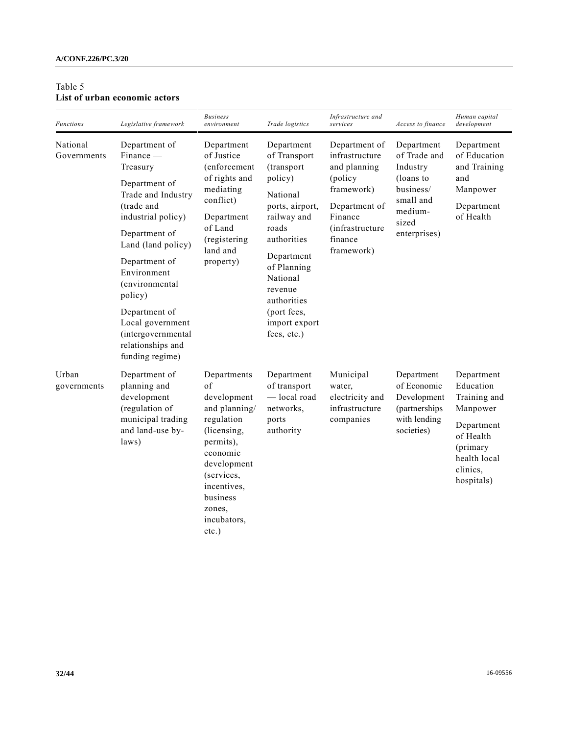### **A/CONF.226/PC.3/20**

## Table 5 **List of urban economic actors**

| <b>Functions</b>        | Legislative framework                                                                                                                                                                                                                                                                                                      | <b>Business</b><br>environment                                                                                                                                                                       | Trade logistics                                                                                                                                                                                                                             | Infrastructure and<br>services                                                                                                                    | Access to finance                                                                                                 | Human capital<br>development                                                                                                         |
|-------------------------|----------------------------------------------------------------------------------------------------------------------------------------------------------------------------------------------------------------------------------------------------------------------------------------------------------------------------|------------------------------------------------------------------------------------------------------------------------------------------------------------------------------------------------------|---------------------------------------------------------------------------------------------------------------------------------------------------------------------------------------------------------------------------------------------|---------------------------------------------------------------------------------------------------------------------------------------------------|-------------------------------------------------------------------------------------------------------------------|--------------------------------------------------------------------------------------------------------------------------------------|
| National<br>Governments | Department of<br>$Finance -$<br>Treasury<br>Department of<br>Trade and Industry<br>(trade and<br>industrial policy)<br>Department of<br>Land (land policy)<br>Department of<br>Environment<br>(environmental<br>policy)<br>Department of<br>Local government<br>(intergovernmental<br>relationships and<br>funding regime) | Department<br>of Justice<br><i>(enforcement</i> )<br>of rights and<br>mediating<br>conflict)<br>Department<br>of Land<br>(registering<br>land and<br>property)                                       | Department<br>of Transport<br>(transport<br>policy)<br>National<br>ports, airport,<br>railway and<br>roads<br>authorities<br>Department<br>of Planning<br>National<br>revenue<br>authorities<br>(port fees,<br>import export<br>fees, etc.) | Department of<br>infrastructure<br>and planning<br>(policy<br>framework)<br>Department of<br>Finance<br>(infrastructure)<br>finance<br>framework) | Department<br>of Trade and<br>Industry<br>(loans to<br>business/<br>small and<br>medium-<br>sized<br>enterprises) | Department<br>of Education<br>and Training<br>and<br>Manpower<br>Department<br>of Health                                             |
| Urban<br>governments    | Department of<br>planning and<br>development<br>(regulation of<br>municipal trading<br>and land-use by-<br>laws)                                                                                                                                                                                                           | Departments<br>of<br>development<br>and planning/<br>regulation<br>(licensing,<br>permits),<br>economic<br>development<br>(services,<br>incentives,<br>business<br>zones,<br>incubators,<br>$etc.$ ) | Department<br>of transport<br>-local road<br>networks.<br>ports<br>authority                                                                                                                                                                | Municipal<br>water,<br>electricity and<br>infrastructure<br>companies                                                                             | Department<br>of Economic<br>Development<br>(partnerships)<br>with lending<br>societies)                          | Department<br>Education<br>Training and<br>Manpower<br>Department<br>of Health<br>(primary<br>health local<br>clinics,<br>hospitals) |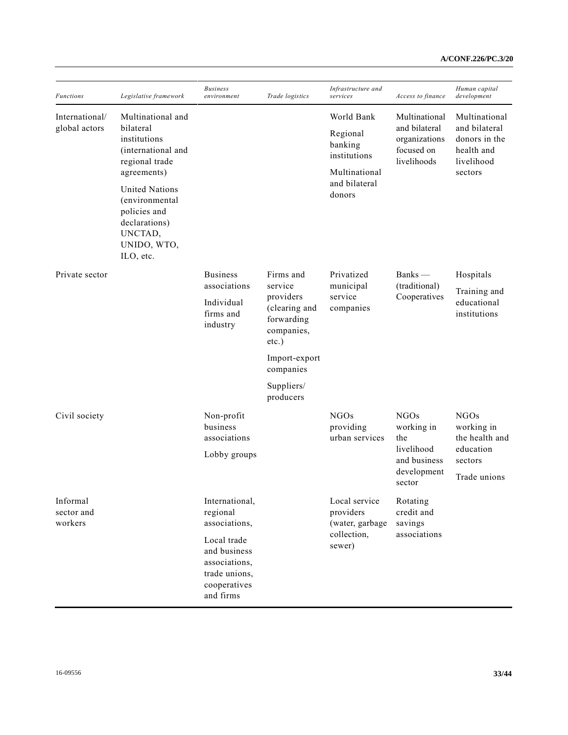| <b>Functions</b>                | Legislative framework                                                                                           | <b>Business</b><br>environment         | Trade logistics                                                    | Infrastructure and<br>services             | Access to finance                                           | Human capital<br>development                                                           |  |
|---------------------------------|-----------------------------------------------------------------------------------------------------------------|----------------------------------------|--------------------------------------------------------------------|--------------------------------------------|-------------------------------------------------------------|----------------------------------------------------------------------------------------|--|
| International/<br>global actors | Multinational and<br>bilateral<br>institutions<br>(international and<br>regional trade<br>agreements)           |                                        |                                                                    | World Bank                                 | Multinational                                               | Multinational<br>and bilateral<br>donors in the<br>health and<br>livelihood<br>sectors |  |
|                                 |                                                                                                                 |                                        |                                                                    | Regional<br>banking<br>institutions        | and bilateral<br>organizations<br>focused on<br>livelihoods |                                                                                        |  |
|                                 |                                                                                                                 |                                        |                                                                    | Multinational<br>and bilateral             |                                                             |                                                                                        |  |
|                                 | <b>United Nations</b><br>(environmental<br>policies and<br>declarations)<br>UNCTAD,<br>UNIDO, WTO,<br>ILO, etc. |                                        |                                                                    | donors                                     |                                                             |                                                                                        |  |
| Private sector                  |                                                                                                                 | <b>Business</b><br>associations        | Firms and<br>service                                               | Privatized                                 | Banks —<br>(traditional)<br>Cooperatives                    | Hospitals                                                                              |  |
|                                 |                                                                                                                 | Individual<br>firms and<br>industry    | providers<br>(clearing and<br>forwarding<br>companies,<br>$etc.$ ) | municipal<br>service<br>companies          |                                                             | Training and<br>educational<br>institutions                                            |  |
|                                 |                                                                                                                 |                                        | Import-export<br>companies                                         |                                            |                                                             |                                                                                        |  |
|                                 |                                                                                                                 |                                        | Suppliers/<br>producers                                            |                                            |                                                             |                                                                                        |  |
| Civil society                   |                                                                                                                 | Non-profit<br>business<br>associations |                                                                    | <b>NGOs</b><br>providing<br>urban services | <b>NGOs</b><br>working in<br>the                            | NGOs<br>working in<br>the health and                                                   |  |
|                                 |                                                                                                                 | Lobby groups                           |                                                                    |                                            | livelihood<br>and business                                  | education<br>sectors                                                                   |  |
|                                 |                                                                                                                 |                                        |                                                                    |                                            | development<br>sector                                       | Trade unions                                                                           |  |
| Informal<br>sector and          |                                                                                                                 | International,<br>regional             |                                                                    | Local service<br>providers                 | Rotating<br>credit and                                      |                                                                                        |  |
| workers                         |                                                                                                                 | associations,                          |                                                                    | (water, garbage<br>collection,<br>sewer)   | savings                                                     |                                                                                        |  |
|                                 |                                                                                                                 | Local trade<br>and business            |                                                                    |                                            | associations                                                |                                                                                        |  |
|                                 |                                                                                                                 | associations,                          |                                                                    |                                            |                                                             |                                                                                        |  |
|                                 |                                                                                                                 | trade unions,<br>cooperatives          |                                                                    |                                            |                                                             |                                                                                        |  |
|                                 |                                                                                                                 | and firms                              |                                                                    |                                            |                                                             |                                                                                        |  |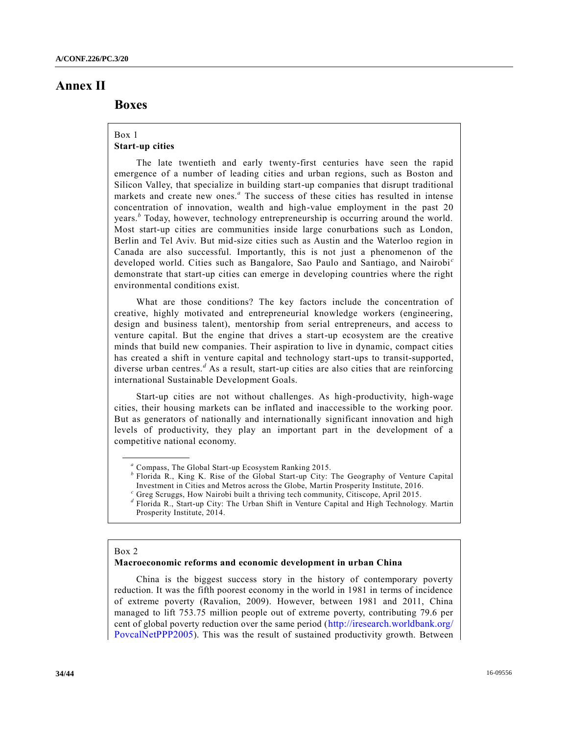# **Annex II**

## **Boxes**

## Box 1 **Start-up cities**

The late twentieth and early twenty-first centuries have seen the rapid emergence of a number of leading cities and urban regions, such as Boston and Silicon Valley, that specialize in building start-up companies that disrupt traditional markets and create new ones.<sup>*a*</sup> The success of these cities has resulted in intense concentration of innovation, wealth and high-value employment in the past 20 years.*<sup>b</sup>* Today, however, technology entrepreneurship is occurring around the world. Most start-up cities are communities inside large conurbations such as London, Berlin and Tel Aviv. But mid-size cities such as Austin and the Waterloo region in Canada are also successful. Importantly, this is not just a phenomenon of the developed world. Cities such as Bangalore, Sao Paulo and Santiago, and Nairobi *<sup>c</sup>* demonstrate that start-up cities can emerge in developing countries where the right environmental conditions exist.

What are those conditions? The key factors include the concentration of creative, highly motivated and entrepreneurial knowledge workers (engineering, design and business talent), mentorship from serial entrepreneurs, and access to venture capital. But the engine that drives a start-up ecosystem are the creative minds that build new companies. Their aspiration to live in dynamic, compact cities has created a shift in venture capital and technology start-ups to transit-supported, diverse urban centres.*<sup>d</sup>* As a result, start-up cities are also cities that are reinforcing international Sustainable Development Goals.

Start-up cities are not without challenges. As high-productivity, high-wage cities, their housing markets can be inflated and inaccessible to the working poor. But as generators of nationally and internationally significant innovation and high levels of productivity, they play an important part in the development of a competitive national economy.

- <sup>*b*</sup> Florida R., King K. Rise of the Global Start-up City: The Geography of Venture Capital Investment in Cities and Metros across the Globe, Martin Prosperity Institute, 2016.
- *<sup>c</sup>* Greg Scruggs, How Nairobi built a thriving tech community, Citiscope, April 2015.
- *d* Florida R., Start-up City: The Urban Shift in Venture Capital and High Technology. Martin Prosperity Institute, 2014.

#### Box 2

#### **Macroeconomic reforms and economic development in urban China**

China is the biggest success story in the history of contemporary poverty reduction. It was the fifth poorest economy in the world in 1981 in terms of incidence of extreme poverty (Ravalion, 2009). However, between 1981 and 2011, China managed to lift 753.75 million people out of extreme poverty, contributing 79.6 per cent of global poverty reduction over the same period ([http://iresearch.worldbank.org/](http://iresearch.worldbank.org/PovcalNetPPP2005) [PovcalNetPPP2005](http://iresearch.worldbank.org/PovcalNetPPP2005)). This was the result of sustained productivity growth. Between

*<sup>a</sup>* Compass, The Global Start-up Ecosystem Ranking 2015.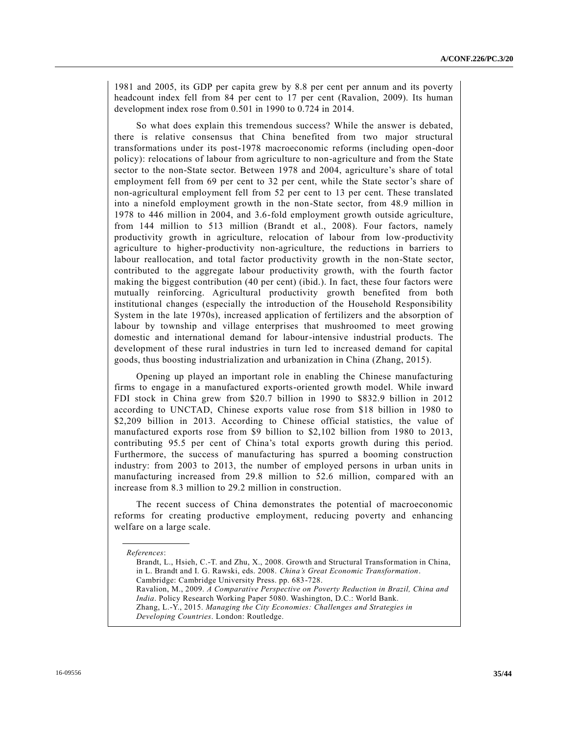1981 and 2005, its GDP per capita grew by 8.8 per cent per annum and its poverty headcount index fell from 84 per cent to 17 per cent (Ravalion, 2009). Its human development index rose from 0.501 in 1990 to 0.724 in 2014.

So what does explain this tremendous success? While the answer is debated, there is relative consensus that China benefited from two major structural transformations under its post-1978 macroeconomic reforms (including open-door policy): relocations of labour from agriculture to non-agriculture and from the State sector to the non-State sector. Between 1978 and 2004, agriculture's share of total employment fell from 69 per cent to 32 per cent, while the State sector's share of non-agricultural employment fell from 52 per cent to 13 per cent. These translated into a ninefold employment growth in the non-State sector, from 48.9 million in 1978 to 446 million in 2004, and 3.6-fold employment growth outside agriculture, from 144 million to 513 million (Brandt et al., 2008). Four factors, namely productivity growth in agriculture, relocation of labour from low-productivity agriculture to higher-productivity non-agriculture, the reductions in barriers to labour reallocation, and total factor productivity growth in the non-State sector, contributed to the aggregate labour productivity growth, with the fourth factor making the biggest contribution (40 per cent) (ibid.). In fact, these four factors were mutually reinforcing. Agricultural productivity growth benefited from both institutional changes (especially the introduction of the Household Responsibility System in the late 1970s), increased application of fertilizers and the absorption of labour by township and village enterprises that mushroomed to meet growing domestic and international demand for labour-intensive industrial products. The development of these rural industries in turn led to increased demand for capital goods, thus boosting industrialization and urbanization in China (Zhang, 2015).

Opening up played an important role in enabling the Chinese manufacturing firms to engage in a manufactured exports-oriented growth model. While inward FDI stock in China grew from \$20.7 billion in 1990 to \$832.9 billion in 2012 according to UNCTAD, Chinese exports value rose from \$18 billion in 1980 to \$2,209 billion in 2013. According to Chinese official statistics, the value of manufactured exports rose from \$9 billion to \$2,102 billion from 1980 to 2013, contributing 95.5 per cent of China's total exports growth during this period. Furthermore, the success of manufacturing has spurred a booming construction industry: from 2003 to 2013, the number of employed persons in urban units in manufacturing increased from 29.8 million to 52.6 million, compared with an increase from 8.3 million to 29.2 million in construction.

The recent success of China demonstrates the potential of macroeconomic reforms for creating productive employment, reducing poverty and enhancing welfare on a large scale.

*References*: Brandt, L., Hsieh, C.-T. and Zhu, X., 2008. Growth and Structural Transformation in China, in L. Brandt and I. G. Rawski, eds. 2008. *China's Great Economic Transformation*. Cambridge: Cambridge University Press. pp. 683-728. Ravalion, M., 2009. *A Comparative Perspective on Poverty Reduction in Brazil, China and India*. Policy Research Working Paper 5080. Washington, D.C.: World Bank. Zhang, L.-Y., 2015. *Managing the City Economies: Challenges and Strategies in Developing Countries*. London: Routledge.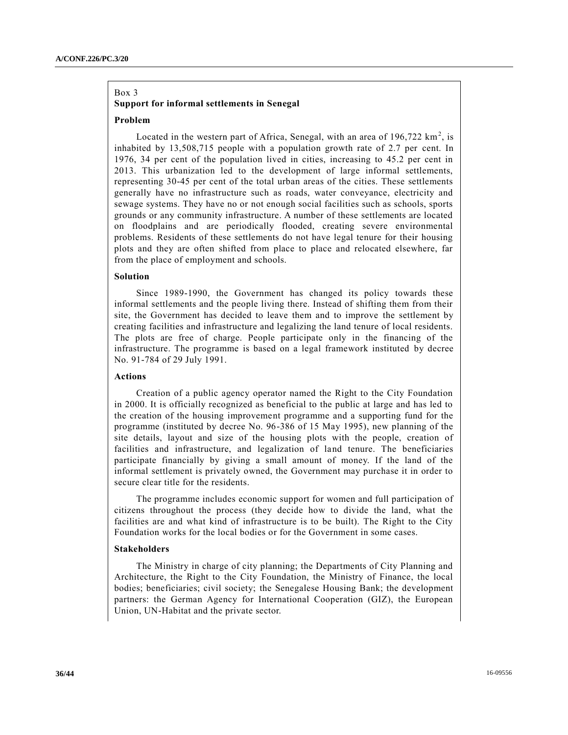## Box 3 **Support for informal settlements in Senegal**

### **Problem**

Located in the western part of Africa, Senegal, with an area of  $196,722 \text{ km}^2$ , is inhabited by 13,508,715 people with a population growth rate of 2.7 per cent. In 1976, 34 per cent of the population lived in cities, increasing to 45.2 per cent in 2013. This urbanization led to the development of large informal settlements, representing 30-45 per cent of the total urban areas of the cities. These settlements generally have no infrastructure such as roads, water conveyance, electricity and sewage systems. They have no or not enough social facilities such as schools, sports grounds or any community infrastructure. A number of these settlements are located on floodplains and are periodically flooded, creating severe environmental problems. Residents of these settlements do not have legal tenure for their housing plots and they are often shifted from place to place and relocated elsewhere, far from the place of employment and schools.

#### **Solution**

Since 1989-1990, the Government has changed its policy towards these informal settlements and the people living there. Instead of shifting them from their site, the Government has decided to leave them and to improve the settlement by creating facilities and infrastructure and legalizing the land tenure of local residents. The plots are free of charge. People participate only in the financing of the infrastructure. The programme is based on a legal framework instituted by decree No. 91-784 of 29 July 1991.

### **Actions**

Creation of a public agency operator named the Right to the City Foundation in 2000. It is officially recognized as beneficial to the public at large and has led to the creation of the housing improvement programme and a supporting fund for the programme (instituted by decree No. 96-386 of 15 May 1995), new planning of the site details, layout and size of the housing plots with the people, creation of facilities and infrastructure, and legalization of land tenure. The beneficiaries participate financially by giving a small amount of money. If the land of the informal settlement is privately owned, the Government may purchase it in order to secure clear title for the residents.

The programme includes economic support for women and full participation of citizens throughout the process (they decide how to divide the land, what the facilities are and what kind of infrastructure is to be built). The Right to the City Foundation works for the local bodies or for the Government in some cases.

### **Stakeholders**

The Ministry in charge of city planning; the Departments of City Planning and Architecture, the Right to the City Foundation, the Ministry of Finance, the local bodies; beneficiaries; civil society; the Senegalese Housing Bank; the development partners: the German Agency for International Cooperation (GIZ), the European Union, UN-Habitat and the private sector.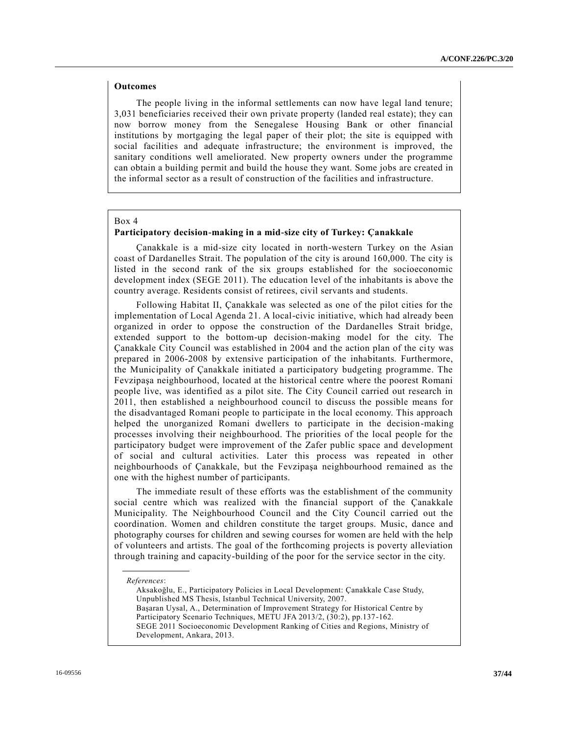### **Outcomes**

The people living in the informal settlements can now have legal land tenure; 3,031 beneficiaries received their own private property (landed real estate); they can now borrow money from the Senegalese Housing Bank or other financial institutions by mortgaging the legal paper of their plot; the site is equipped with social facilities and adequate infrastructure; the environment is improved, the sanitary conditions well ameliorated. New property owners under the programme can obtain a building permit and build the house they want. Some jobs are created in the informal sector as a result of construction of the facilities and infrastructure.

### Box 4

### **Participatory decision-making in a mid-size city of Turkey: Çanakkale**

Çanakkale is a mid-size city located in north-western Turkey on the Asian coast of Dardanelles Strait. The population of the city is around 160,000. The city is listed in the second rank of the six groups established for the socioeconomic development index (SEGE 2011). The education level of the inhabitants is above the country average. Residents consist of retirees, civil servants and students.

Following Habitat II, Çanakkale was selected as one of the pilot cities for the implementation of Local Agenda 21. A local-civic initiative, which had already been organized in order to oppose the construction of the Dardanelles Strait bridge, extended support to the bottom-up decision-making model for the city. The Çanakkale City Council was established in 2004 and the action plan of the city was prepared in 2006-2008 by extensive participation of the inhabitants. Furthermore, the Municipality of Çanakkale initiated a participatory budgeting programme. The Fevzipaşa neighbourhood, located at the historical centre where the poorest Romani people live, was identified as a pilot site. The City Council carried out research in 2011, then established a neighbourhood council to discuss the possible means for the disadvantaged Romani people to participate in the local economy. This approach helped the unorganized Romani dwellers to participate in the decision-making processes involving their neighbourhood. The priorities of the local people for the participatory budget were improvement of the Zafer public space and development of social and cultural activities. Later this process was repeated in other neighbourhoods of Çanakkale, but the Fevzipaşa neighbourhood remained as the one with the highest number of participants.

The immediate result of these efforts was the establishment of the community social centre which was realized with the financial support of the Çanakkale Municipality. The Neighbourhood Council and the City Council carried out the coordination. Women and children constitute the target groups. Music, dance and photography courses for children and sewing courses for women are held with the help of volunteers and artists. The goal of the forthcoming projects is poverty alleviation through training and capacity-building of the poor for the service sector in the city.

Aksakoğlu, E., Participatory Policies in Local Development: Çanakkale Case Study, Unpublished MS Thesis, Istanbul Technical University, 2007. Başaran Uysal, A., Determination of Improvement Strategy for Historical Centre by Participatory Scenario Techniques, METU JFA 2013/2, (30:2), pp.137-162. SEGE 2011 Socioeconomic Development Ranking of Cities and Regions, Ministry of Development, Ankara, 2013.

*References*: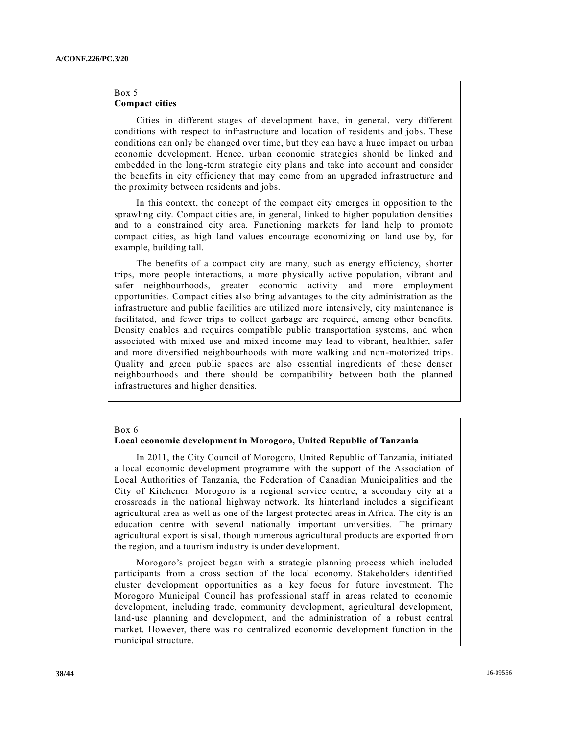### Box 5 **Compact cities**

Cities in different stages of development have, in general, very different conditions with respect to infrastructure and location of residents and jobs. These conditions can only be changed over time, but they can have a huge impact on urban economic development. Hence, urban economic strategies should be linked and embedded in the long-term strategic city plans and take into account and consider the benefits in city efficiency that may come from an upgraded infrastructure and the proximity between residents and jobs.

In this context, the concept of the compact city emerges in opposition to the sprawling city. Compact cities are, in general, linked to higher population densities and to a constrained city area. Functioning markets for land help to promote compact cities, as high land values encourage economizing on land use by, for example, building tall.

The benefits of a compact city are many, such as energy efficiency, shorter trips, more people interactions, a more physically active population, vibrant and safer neighbourhoods, greater economic activity and more employment opportunities. Compact cities also bring advantages to the city administration as the infrastructure and public facilities are utilized more intensively, city maintenance is facilitated, and fewer trips to collect garbage are required, among other benefits. Density enables and requires compatible public transportation systems, and when associated with mixed use and mixed income may lead to vibrant, healthier, safer and more diversified neighbourhoods with more walking and non-motorized trips. Quality and green public spaces are also essential ingredients of these denser neighbourhoods and there should be compatibility between both the planned infrastructures and higher densities.

#### Box 6

### **Local economic development in Morogoro, United Republic of Tanzania**

In 2011, the City Council of Morogoro, United Republic of Tanzania, initiated a local economic development programme with the support of the Association of Local Authorities of Tanzania, the Federation of Canadian Municipalities and the City of Kitchener. Morogoro is a regional service centre, a secondary city at a crossroads in the national highway network. Its hinterland includes a significant agricultural area as well as one of the largest protected areas in Africa. The city is an education centre with several nationally important universities. The primary agricultural export is sisal, though numerous agricultural products are exported from the region, and a tourism industry is under development.

Morogoro's project began with a strategic planning process which included participants from a cross section of the local economy. Stakeholders identified cluster development opportunities as a key focus for future investment. The Morogoro Municipal Council has professional staff in areas related to economic development, including trade, community development, agricultural development, land-use planning and development, and the administration of a robust central market. However, there was no centralized economic development function in the municipal structure.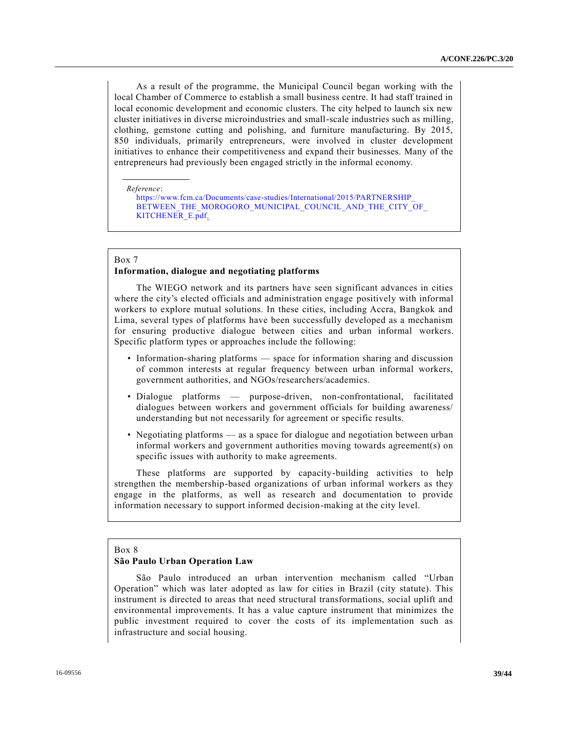As a result of the programme, the Municipal Council began working with the local Chamber of Commerce to establish a small business centre. It had staff trained in local economic development and economic clusters. The city helped to launch six new cluster initiatives in diverse microindustries and small-scale industries such as milling, clothing, gemstone cutting and polishing, and furniture manufacturing. By 2015, 850 individuals, primarily entrepreneurs, were involved in cluster development initiatives to enhance their competitiveness and expand their businesses. Many of the entrepreneurs had previously been engaged strictly in the informal economy.

*Reference*:

[https://www.fcm.ca/Documents/case-studies/International/2015/PARTNERSHIP\\_](https://www.fcm.ca/Documents/case-studies/International/2015/PARTNERSHIP_BETWEEN_THE_MOROGORO_MUNICIPAL_COUNCIL_AND_THE_CITY_OF_KITCHENER_E.pdf) BETWEEN THE MOROGORO\_MUNICIPAL\_COUNCIL\_AND\_THE\_CITY\_OF [KITCHENER\\_E.pdf.](https://www.fcm.ca/Documents/case-studies/International/2015/PARTNERSHIP_BETWEEN_THE_MOROGORO_MUNICIPAL_COUNCIL_AND_THE_CITY_OF_KITCHENER_E.pdf)

#### Box 7

### **Information, dialogue and negotiating platforms**

The WIEGO network and its partners have seen significant advances in cities where the city's elected officials and administration engage positively with informal workers to explore mutual solutions. In these cities, including Accra, Bangkok and Lima, several types of platforms have been successfully developed as a mechanism for ensuring productive dialogue between cities and urban informal workers. Specific platform types or approaches include the following:

- Information-sharing platforms space for information sharing and discussion of common interests at regular frequency between urban informal workers, government authorities, and NGOs/researchers/academics.
- Dialogue platforms purpose-driven, non-confrontational, facilitated dialogues between workers and government officials for building awareness/ understanding but not necessarily for agreement or specific results.
- Negotiating platforms as a space for dialogue and negotiation between urban informal workers and government authorities moving towards agreement(s) on specific issues with authority to make agreements.

These platforms are supported by capacity-building activities to help strengthen the membership-based organizations of urban informal workers as they engage in the platforms, as well as research and documentation to provide information necessary to support informed decision-making at the city level.

#### Box 8

### **São Paulo Urban Operation Law**

São Paulo introduced an urban intervention mechanism called "Urban Operation" which was later adopted as law for cities in Brazil (city statute). This instrument is directed to areas that need structural transformations, social uplift and environmental improvements. It has a value capture instrument that minimizes the public investment required to cover the costs of its implementation such as infrastructure and social housing.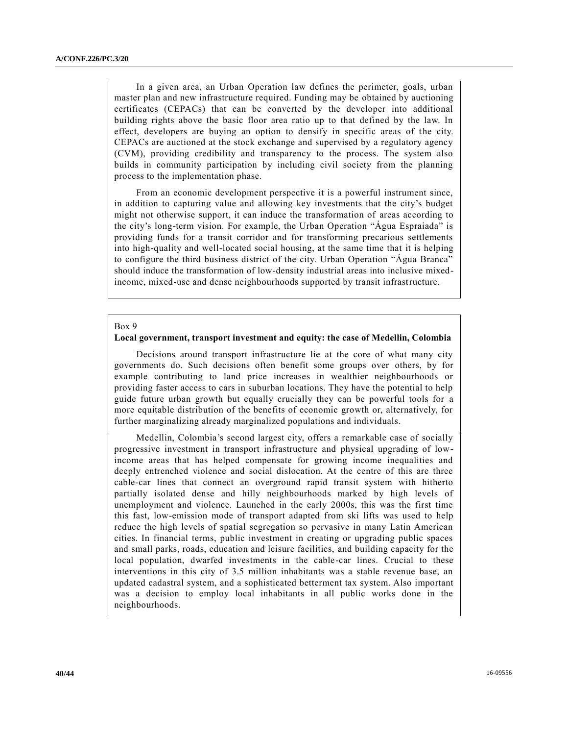In a given area, an Urban Operation law defines the perimeter, goals, urban master plan and new infrastructure required. Funding may be obtained by auctioning certificates (CEPACs) that can be converted by the developer into additional building rights above the basic floor area ratio up to that defined by the law. In effect, developers are buying an option to densify in specific areas of the city. CEPACs are auctioned at the stock exchange and supervised by a regulatory agency (CVM), providing credibility and transparency to the process. The system also builds in community participation by including civil society from the planning process to the implementation phase.

From an economic development perspective it is a powerful instrument since, in addition to capturing value and allowing key investments that the city's budget might not otherwise support, it can induce the transformation of areas according to the city's long-term vision. For example, the Urban Operation "Água Espraiada" is providing funds for a transit corridor and for transforming precarious settlements into high-quality and well-located social housing, at the same time that it is helping to configure the third business district of the city. Urban Operation "Água Branca" should induce the transformation of low-density industrial areas into inclusive mixedincome, mixed-use and dense neighbourhoods supported by transit infrastructure.

### Box 9

### **Local government, transport investment and equity: the case of Medellin, Colombia**

Decisions around transport infrastructure lie at the core of what many city governments do. Such decisions often benefit some groups over others, by for example contributing to land price increases in wealthier neighbourhoods or providing faster access to cars in suburban locations. They have the potential to help guide future urban growth but equally crucially they can be powerful tools for a more equitable distribution of the benefits of economic growth or, alternatively, for further marginalizing already marginalized populations and individuals.

Medellin, Colombia's second largest city, offers a remarkable case of socially progressive investment in transport infrastructure and physical upgrading of lowincome areas that has helped compensate for growing income inequalities and deeply entrenched violence and social dislocation. At the centre of this are three cable-car lines that connect an overground rapid transit system with hitherto partially isolated dense and hilly neighbourhoods marked by high levels of unemployment and violence. Launched in the early 2000s, this was the first time this fast, low-emission mode of transport adapted from ski lifts was used to help reduce the high levels of spatial segregation so pervasive in many Latin American cities. In financial terms, public investment in creating or upgrading public spaces and small parks, roads, education and leisure facilities, and building capacity for the local population, dwarfed investments in the cable-car lines. Crucial to these interventions in this city of 3.5 million inhabitants was a stable revenue base, an updated cadastral system, and a sophisticated betterment tax system. Also important was a decision to employ local inhabitants in all public works done in the neighbourhoods.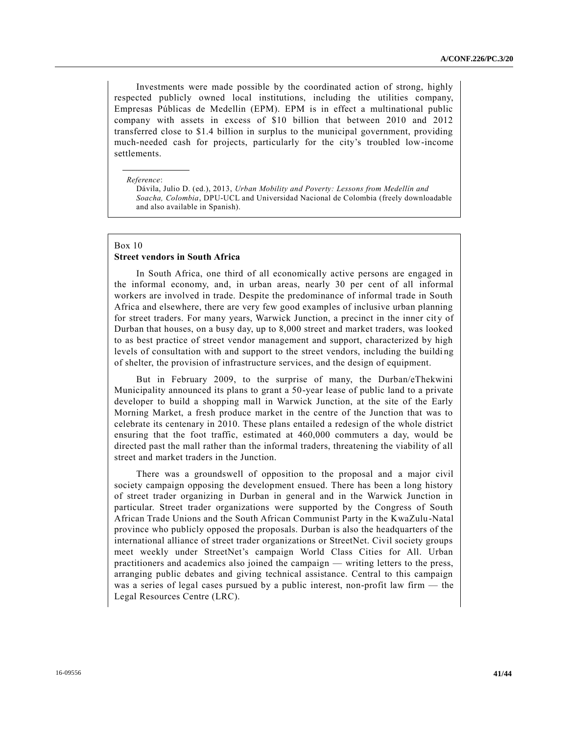Investments were made possible by the coordinated action of strong, highly respected publicly owned local institutions, including the utilities company, Empresas Públicas de Medellin (EPM). EPM is in effect a multinational public company with assets in excess of \$10 billion that between 2010 and 2012 transferred close to \$1.4 billion in surplus to the municipal government, providing much-needed cash for projects, particularly for the city's troubled low-income settlements.

#### *Reference*:

Dávila, Julio D. (ed.), 2013, *Urban Mobility and Poverty: Lessons from Medellín and Soacha, Colombia*, DPU-UCL and Universidad Nacional de Colombia (freely downloadable and also available in Spanish).

#### Box 10

#### **Street vendors in South Africa**

In South Africa, one third of all economically active persons are engaged in the informal economy, and, in urban areas, nearly 30 per cent of all informal workers are involved in trade. Despite the predominance of informal trade in South Africa and elsewhere, there are very few good examples of inclusive urban planning for street traders. For many years, Warwick Junction, a precinct in the inner city of Durban that houses, on a busy day, up to 8,000 street and market traders, was looked to as best practice of street vendor management and support, characterized by high levels of consultation with and support to the street vendors, including the building of shelter, the provision of infrastructure services, and the design of equipment.

But in February 2009, to the surprise of many, the Durban/eThekwini Municipality announced its plans to grant a 50-year lease of public land to a private developer to build a shopping mall in Warwick Junction, at the site of the Early Morning Market, a fresh produce market in the centre of the Junction that was to celebrate its centenary in 2010. These plans entailed a redesign of the whole district ensuring that the foot traffic, estimated at 460,000 commuters a day, would be directed past the mall rather than the informal traders, threatening the viability of all street and market traders in the Junction.

There was a groundswell of opposition to the proposal and a major civil society campaign opposing the development ensued. There has been a long history of street trader organizing in Durban in general and in the Warwick Junction in particular. Street trader organizations were supported by the Congress of South African Trade Unions and the South African Communist Party in the KwaZulu-Natal province who publicly opposed the proposals. Durban is also the headquarters of the international alliance of street trader organizations or StreetNet. Civil society groups meet weekly under StreetNet's campaign World Class Cities for All. Urban practitioners and academics also joined the campaign — writing letters to the press, arranging public debates and giving technical assistance. Central to this campaign was a series of legal cases pursued by a public interest, non-profit law firm — the Legal Resources Centre (LRC).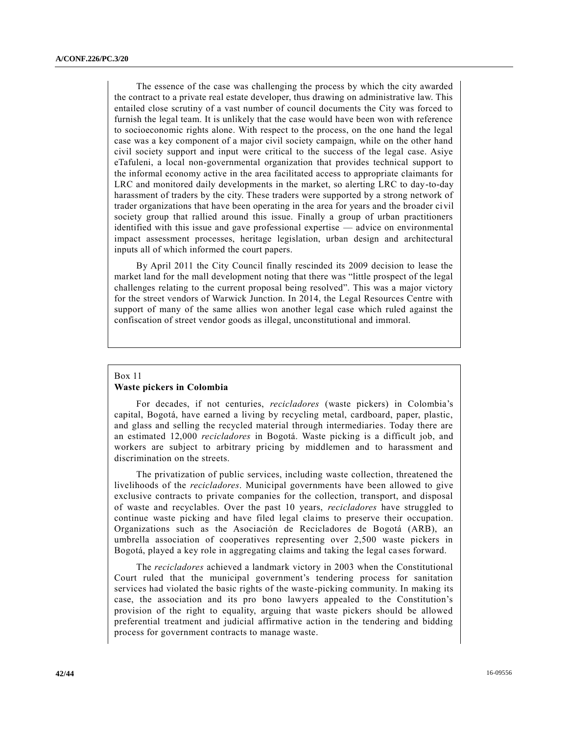The essence of the case was challenging the process by which the city awarded the contract to a private real estate developer, thus drawing on administrative law. This entailed close scrutiny of a vast number of council documents the City was forced to furnish the legal team. It is unlikely that the case would have been won with reference to socioeconomic rights alone. With respect to the process, on the one hand the legal case was a key component of a major civil society campaign, while on the other hand civil society support and input were critical to the success of the legal case. Asiye eTafuleni, a local non-governmental organization that provides technical support to the informal economy active in the area facilitated access to appropriate claimants for LRC and monitored daily developments in the market, so alerting LRC to day-to-day harassment of traders by the city. These traders were supported by a strong network of trader organizations that have been operating in the area for years and the broader civil society group that rallied around this issue. Finally a group of urban practitioners identified with this issue and gave professional expertise — advice on environmental impact assessment processes, heritage legislation, urban design and architectural inputs all of which informed the court papers.

By April 2011 the City Council finally rescinded its 2009 decision to lease the market land for the mall development noting that there was "little prospect of the legal challenges relating to the current proposal being resolved". This was a major victory for the street vendors of Warwick Junction. In 2014, the Legal Resources Centre with support of many of the same allies won another legal case which ruled against the confiscation of street vendor goods as illegal, unconstitutional and immoral.

## Box 11 **Waste pickers in Colombia**

For decades, if not centuries, *recicladores* (waste pickers) in Colombia's capital, Bogotá, have earned a living by recycling metal, cardboard, paper, plastic, and glass and selling the recycled material through intermediaries. Today there are an estimated 12,000 *recicladores* in Bogotá. Waste picking is a difficult job, and workers are subject to arbitrary pricing by middlemen and to harassment and discrimination on the streets.

The privatization of public services, including waste collection, threatened the livelihoods of the *recicladores*. Municipal governments have been allowed to give exclusive contracts to private companies for the collection, transport, and disposal of waste and recyclables. Over the past 10 years, *recicladores* have struggled to continue waste picking and have filed legal claims to preserve their occupation. Organizations such as the Asociación de Recicladores de Bogotá (ARB), an umbrella association of cooperatives representing over 2,500 waste pickers in Bogotá, played a key role in aggregating claims and taking the legal ca ses forward.

The *recicladores* achieved a landmark victory in 2003 when the Constitutional Court ruled that the municipal government's tendering process for sanitation services had violated the basic rights of the waste-picking community. In making its case, the association and its pro bono lawyers appealed to the Constitution's provision of the right to equality, arguing that waste pickers should be allowed preferential treatment and judicial affirmative action in the tendering and bidding process for government contracts to manage waste.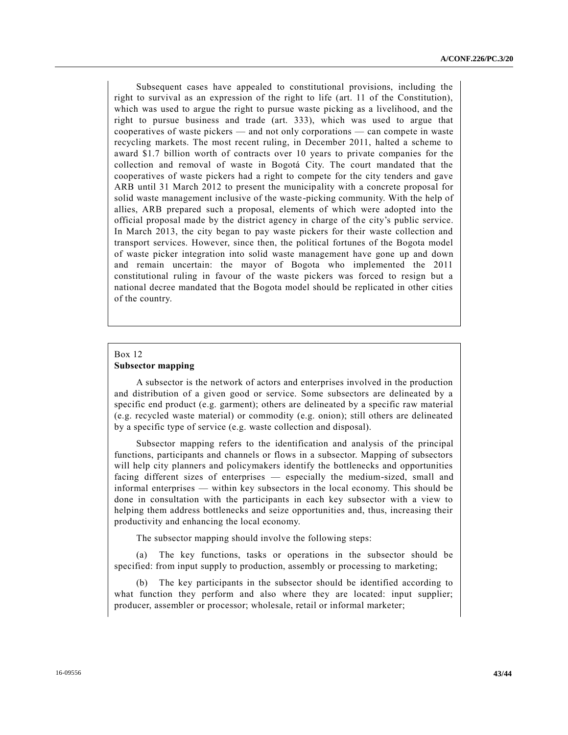Subsequent cases have appealed to constitutional provisions, including the right to survival as an expression of the right to life (art. 11 of the Constitution), which was used to argue the right to pursue waste picking as a livelihood, and the right to pursue business and trade (art. 333), which was used to argue that cooperatives of waste pickers — and not only corporations — can compete in waste recycling markets. The most recent ruling, in December 2011, halted a scheme to award \$1.7 billion worth of contracts over 10 years to private companies for the collection and removal of waste in Bogotá City. The court mandated that the cooperatives of waste pickers had a right to compete for the city tenders and gave ARB until 31 March 2012 to present the municipality with a concrete proposal for solid waste management inclusive of the waste-picking community. With the help of allies, ARB prepared such a proposal, elements of which were adopted into the official proposal made by the district agency in charge of the city's public service. In March 2013, the city began to pay waste pickers for their waste collection and transport services. However, since then, the political fortunes of the Bogota model of waste picker integration into solid waste management have gone up and down and remain uncertain: the mayor of Bogota who implemented the 2011 constitutional ruling in favour of the waste pickers was forced to resign but a national decree mandated that the Bogota model should be replicated in other cities of the country.

### Box 12 **Subsector mapping**

A subsector is the network of actors and enterprises involved in the production and distribution of a given good or service. Some subsectors are delineated by a specific end product (e.g. garment); others are delineated by a specific raw material (e.g. recycled waste material) or commodity (e.g. onion); still others are delineated by a specific type of service (e.g. waste collection and disposal).

Subsector mapping refers to the identification and analysis of the principal functions, participants and channels or flows in a subsector. Mapping of subsectors will help city planners and policymakers identify the bottlenecks and opportunities facing different sizes of enterprises — especially the medium-sized, small and informal enterprises — within key subsectors in the local economy. This should be done in consultation with the participants in each key subsector with a view to helping them address bottlenecks and seize opportunities and, thus, increasing their productivity and enhancing the local economy.

The subsector mapping should involve the following steps:

(a) The key functions, tasks or operations in the subsector should be specified: from input supply to production, assembly or processing to marketing;

(b) The key participants in the subsector should be identified according to what function they perform and also where they are located: input supplier; producer, assembler or processor; wholesale, retail or informal marketer;